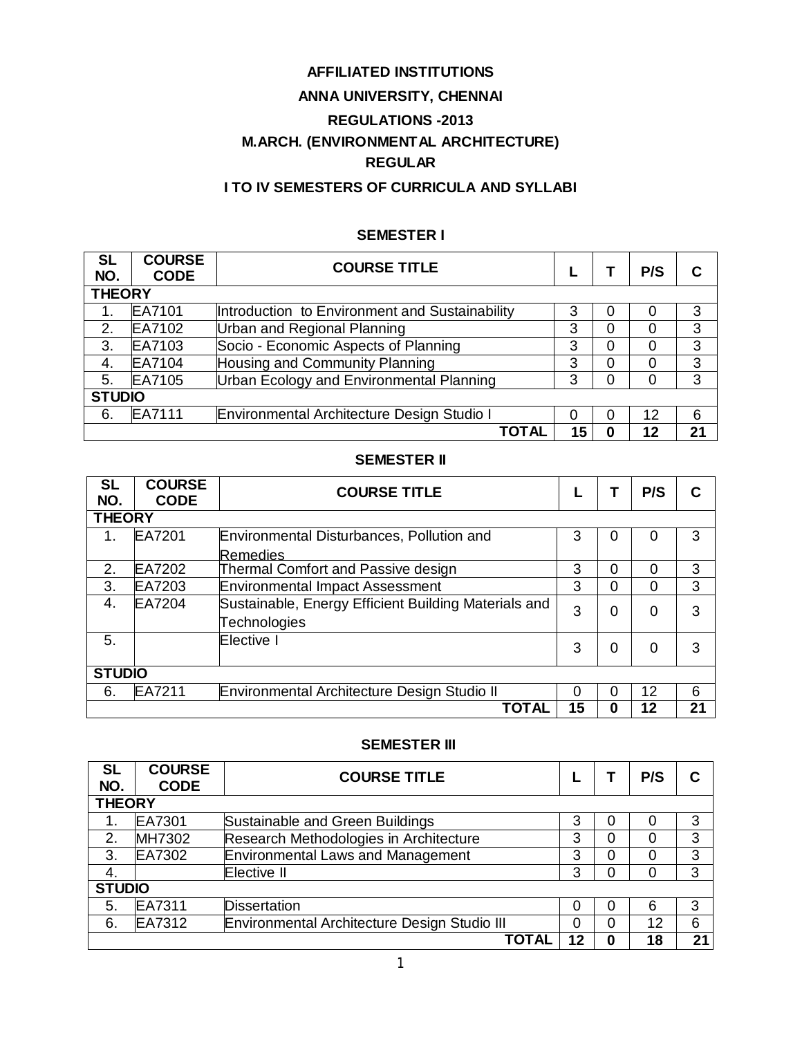# **AFFILIATED INSTITUTIONS ANNA UNIVERSITY, CHENNAI REGULATIONS -2013 M.ARCH. (ENVIRONMENTAL ARCHITECTURE) REGULAR**

# **I TO IV SEMESTERS OF CURRICULA AND SYLLABI**

# **SEMESTER I**

| <b>SL</b><br>NO. | <b>COURSE</b><br><b>CODE</b> | <b>COURSE TITLE</b>                            |          |   | P/S |    |  |  |  |
|------------------|------------------------------|------------------------------------------------|----------|---|-----|----|--|--|--|
|                  | <b>THEORY</b>                |                                                |          |   |     |    |  |  |  |
| 1.               | EA7101                       | Introduction to Environment and Sustainability | 3        | 0 |     | 3  |  |  |  |
| 2.               | EA7102                       | Urban and Regional Planning                    | 3        | 0 | 0   | 3  |  |  |  |
| 3.               | EA7103                       | Socio - Economic Aspects of Planning           | 3        | 0 | 0   | 3  |  |  |  |
| 4.               | EA7104                       | Housing and Community Planning                 | 3        | 0 |     | 3  |  |  |  |
| 5.               | EA7105                       | Urban Ecology and Environmental Planning       | 3        | 0 | 0   | 3  |  |  |  |
| <b>STUDIO</b>    |                              |                                                |          |   |     |    |  |  |  |
| 6.               | EA7111                       | Environmental Architecture Design Studio I     | $\Omega$ | 0 | 12  | 6  |  |  |  |
|                  |                              | ΤΟΤΑΙ                                          | 15       | 0 | 12  | 21 |  |  |  |

#### **SEMESTER II**

| <b>SL</b><br>NO. | <b>COURSE</b><br><b>CODE</b> | <b>COURSE TITLE</b>                                  |    |   | P/S |    |  |  |
|------------------|------------------------------|------------------------------------------------------|----|---|-----|----|--|--|
|                  | <b>THEORY</b>                |                                                      |    |   |     |    |  |  |
|                  | EA7201                       | Environmental Disturbances, Pollution and            | 3  | Ü |     | 3  |  |  |
|                  |                              | <u>Remedies</u>                                      |    |   |     |    |  |  |
| 2.               | EA7202                       | Thermal Comfort and Passive design                   | 3  | 0 |     | 3  |  |  |
| 3.               | EA7203                       | <b>Environmental Impact Assessment</b>               | 3  | 0 | 0   | 3  |  |  |
| 4.               | EA7204                       | Sustainable, Energy Efficient Building Materials and | 3  | 0 | 0   | 3  |  |  |
|                  |                              | <b>Technologies</b>                                  |    |   |     |    |  |  |
| 5.               |                              | Elective                                             | 3  | 0 | 0   | 3  |  |  |
|                  |                              |                                                      |    |   |     |    |  |  |
| <b>STUDIO</b>    |                              |                                                      |    |   |     |    |  |  |
| 6.               | EA7211                       | Environmental Architecture Design Studio II          | 0  | 0 | 12  | 6  |  |  |
|                  |                              | TOTAL                                                | 15 | 0 | 12  | 21 |  |  |

# **SEMESTER III**

| <b>SL</b><br>NO. | <b>COURSE</b><br><b>CODE</b> | <b>COURSE TITLE</b>                          |          |   | P/S |    |  |
|------------------|------------------------------|----------------------------------------------|----------|---|-----|----|--|
| <b>THEORY</b>    |                              |                                              |          |   |     |    |  |
|                  | EA7301                       | Sustainable and Green Buildings              | 3        | 0 | O   | 3  |  |
| 2.               | MH7302                       | Research Methodologies in Architecture       | 3        | 0 | 0   | 3  |  |
| 3.               | EA7302                       | <b>Environmental Laws and Management</b>     | 3        | 0 | 0   | 3  |  |
| 4.               |                              | Elective II                                  | 3        | 0 |     | 3  |  |
| <b>STUDIO</b>    |                              |                                              |          |   |     |    |  |
| 5.               | EA7311                       | <b>Dissertation</b>                          | $\Omega$ | 0 | 6   | 3  |  |
| 6.               | EA7312                       | Environmental Architecture Design Studio III | 0        | 0 | 12  | 6  |  |
|                  |                              | ΤΟΤΑΙ                                        | 12       | 0 | 18  | 21 |  |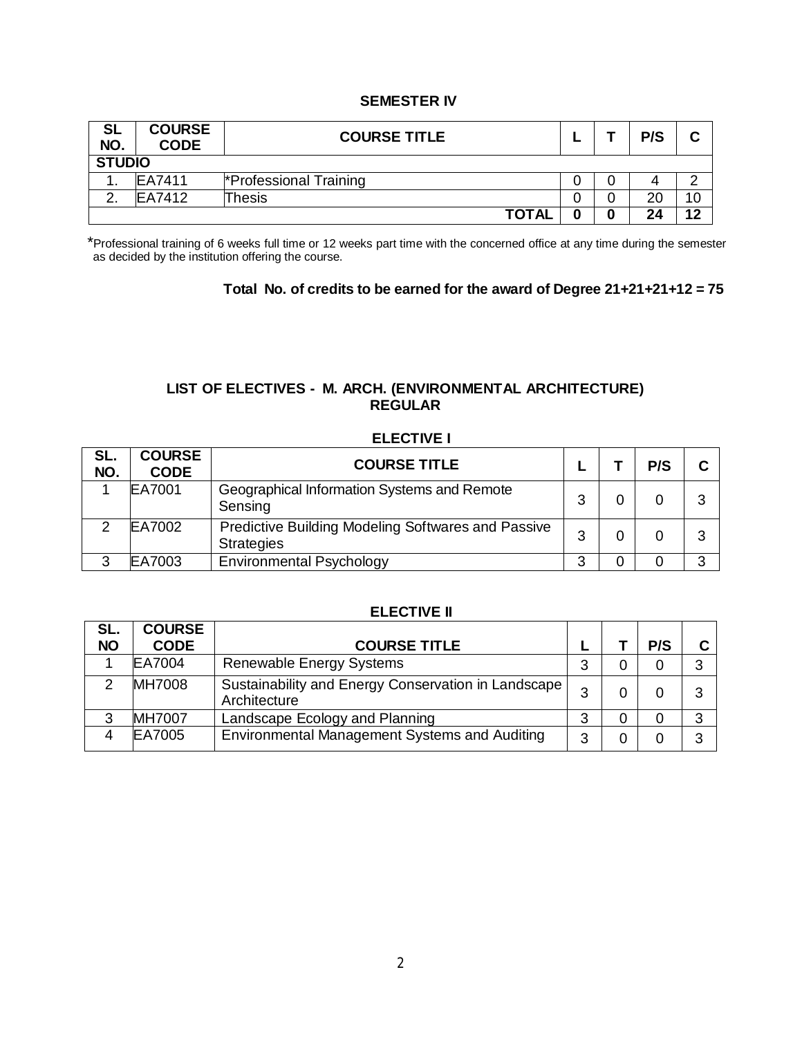#### **SEMESTER IV**

| <b>SL</b><br>NO. | <b>COURSE</b><br><b>CODE</b> | <b>COURSE TITLE</b>    | - |   | P/S | ◠  |  |  |
|------------------|------------------------------|------------------------|---|---|-----|----|--|--|
|                  | <b>STUDIO</b>                |                        |   |   |     |    |  |  |
|                  | EA7411                       | *Professional Training |   |   |     | ⌒  |  |  |
| ົ                | EA7412                       | Thesis                 |   |   | 20  | 10 |  |  |
|                  |                              | <b>TOTAL</b>           | Λ | 0 | 24  | 12 |  |  |

\*Professional training of 6 weeks full time or 12 weeks part time with the concerned office at any time during the semester as decided by the institution offering the course.

# **Total No. of credits to be earned for the award of Degree 21+21+21+12 = 75**

# **LIST OF ELECTIVES - M. ARCH. (ENVIRONMENTAL ARCHITECTURE) REGULAR**

| SL.<br>NO. | <b>COURSE</b><br><b>CODE</b> | <b>COURSE TITLE</b>                                                     |   | P/S |   |
|------------|------------------------------|-------------------------------------------------------------------------|---|-----|---|
|            | EA7001                       | Geographical Information Systems and Remote<br>Sensing                  | 3 |     | 3 |
|            | EA7002                       | Predictive Building Modeling Softwares and Passive<br><b>Strategies</b> | 3 |     | 3 |
| ◠          | EA7003                       | <b>Environmental Psychology</b>                                         | 3 |     | ີ |

#### **ELECTIVE I**

#### **ELECTIVE II**

| SL.       | <b>COURSE</b> |                                                                     |   |     |    |
|-----------|---------------|---------------------------------------------------------------------|---|-----|----|
| <b>NO</b> | <b>CODE</b>   | <b>COURSE TITLE</b>                                                 |   | P/S |    |
|           | EA7004        | <b>Renewable Energy Systems</b>                                     | 2 | 0   | 3  |
|           | <b>MH7008</b> | Sustainability and Energy Conservation in Landscape<br>Architecture | າ |     | 3  |
|           | <b>MH7007</b> | Landscape Ecology and Planning                                      | ≏ |     | -2 |
|           | EA7005        | Environmental Management Systems and Auditing                       | ◠ |     | ≏  |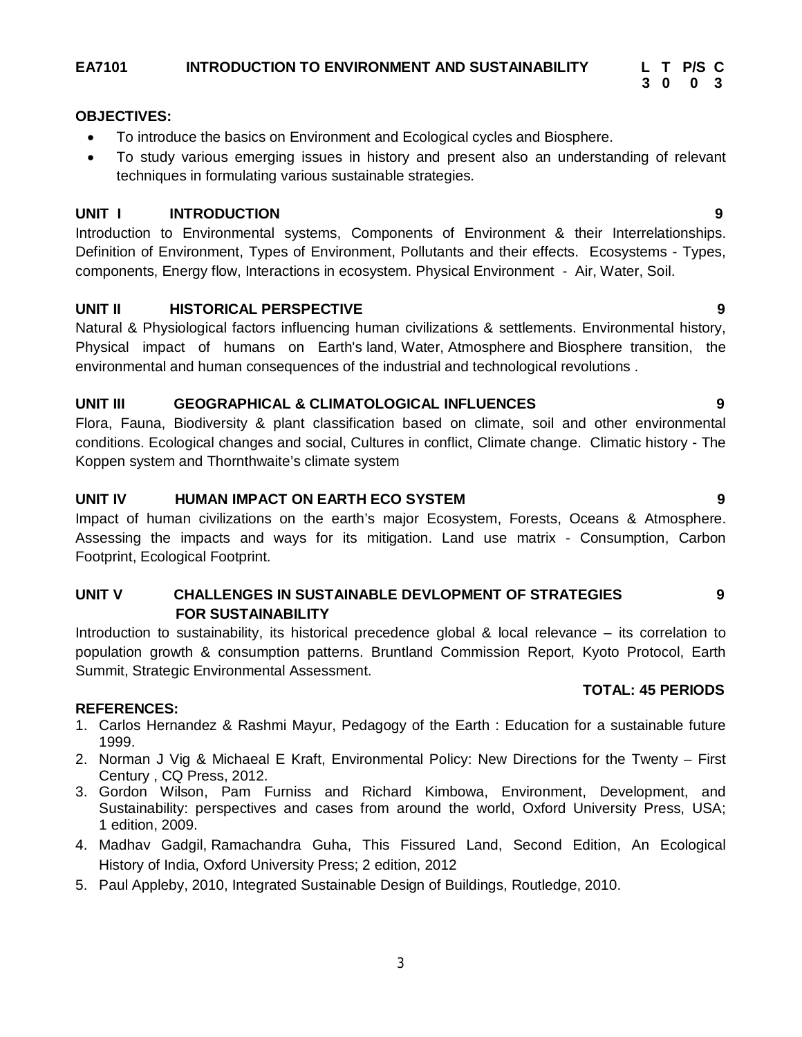# **EA7101 INTRODUCTION TO ENVIRONMENT AND SUSTAINABILITY L T P/S C**

# **OBJECTIVES:**

- To introduce the basics on Environment and Ecological cycles and Biosphere.
- To study various emerging issues in history and present also an understanding of relevant techniques in formulating various sustainable strategies.

 **3 0 0 3**

### **UNIT I INTRODUCTION 9**

Introduction to Environmental systems, Components of Environment & their Interrelationships. Definition of Environment, Types of Environment, Pollutants and their effects. Ecosystems - Types, components, Energy flow, Interactions in ecosystem. Physical Environment - Air, Water, Soil.

# **UNIT II HISTORICAL PERSPECTIVE 9**

Natural & Physiological factors influencing human civilizations & settlements. Environmental history, Physical impact of humans on Earth's land, Water, Atmosphere and Biosphere transition, the environmental and human consequences of the industrial and technological revolutions .

### **UNIT III GEOGRAPHICAL & CLIMATOLOGICAL INFLUENCES 9**

Flora, Fauna, Biodiversity & plant classification based on climate, soil and other environmental conditions. Ecological changes and social, Cultures in conflict, Climate change. Climatic history - The Koppen system and Thornthwaite's climate system

# **UNIT IV HUMAN IMPACT ON EARTH ECO SYSTEM 9**

Impact of human civilizations on the earth's major Ecosystem, Forests, Oceans & Atmosphere. Assessing the impacts and ways for its mitigation. Land use matrix - Consumption, Carbon Footprint, Ecological Footprint.

# **UNIT V CHALLENGES IN SUSTAINABLE DEVLOPMENT OF STRATEGIES 9 FOR SUSTAINABILITY**

Introduction to sustainability, its historical precedence global & local relevance – its correlation to population growth & consumption patterns. Bruntland Commission Report, Kyoto Protocol, Earth Summit, Strategic Environmental Assessment.

#### **REFERENCES:**

- 1. Carlos Hernandez & Rashmi Mayur, Pedagogy of the Earth : Education for a sustainable future 1999.
- 2. Norman J Vig & Michaeal E Kraft, Environmental Policy: New Directions for the Twenty First Century , CQ Press, 2012.
- 3. Gordon Wilson, Pam Furniss and Richard Kimbowa, Environment, Development, and Sustainability: perspectives and cases from around the world, Oxford University Press, USA; 1 edition, 2009.
- 4. Madhav Gadgil, Ramachandra Guha, This Fissured Land, Second Edition, An Ecological History of India, Oxford University Press; 2 edition, 2012
- 5. Paul Appleby, 2010, Integrated Sustainable Design of Buildings, Routledge, 2010.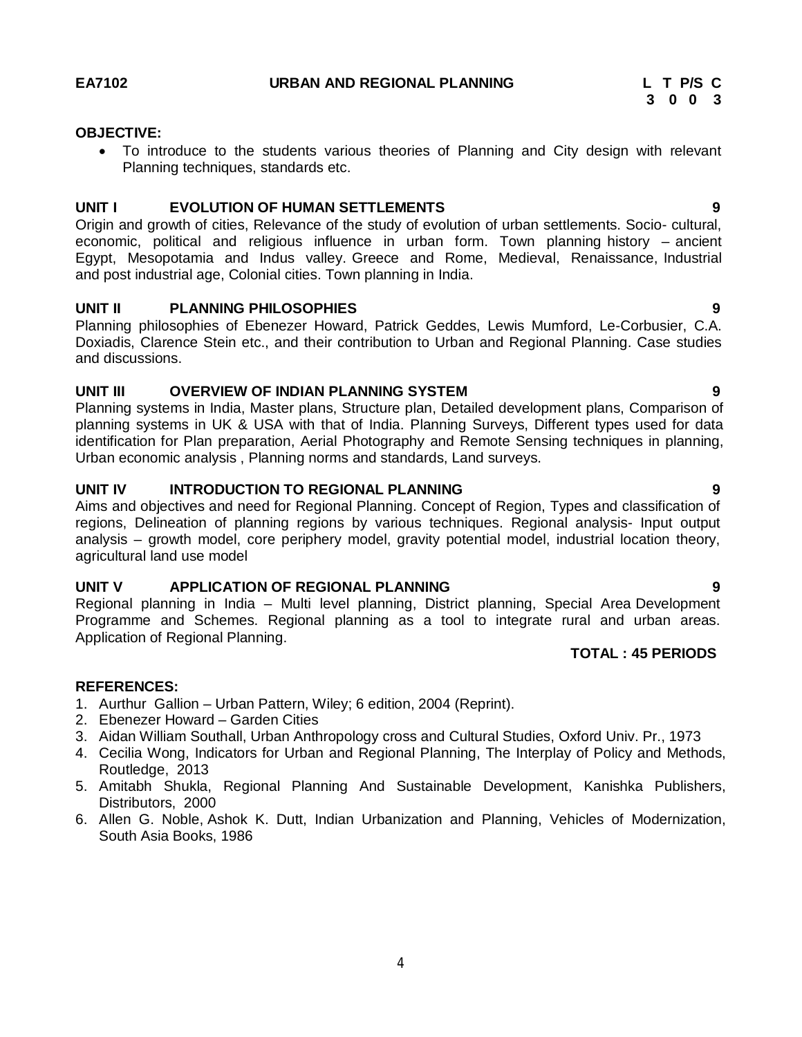**EA7102 URBAN AND REGIONAL PLANNING L T P/S C**

#### **OBJECTIVE:**

 To introduce to the students various theories of Planning and City design with relevant Planning techniques, standards etc.

### **UNIT I EVOLUTION OF HUMAN SETTLEMENTS 9**

Origin and growth of cities, Relevance of the study of evolution of urban settlements. Socio- cultural, economic, political and religious influence in urban form. Town planning history – ancient Egypt, Mesopotamia and Indus valley. Greece and Rome, Medieval, Renaissance, Industrial and post industrial age, Colonial cities. Town planning in India.

# **UNIT II PLANNING PHILOSOPHIES 9**

Planning philosophies of Ebenezer Howard, Patrick Geddes, Lewis Mumford, Le-Corbusier, C.A. Doxiadis, Clarence Stein etc., and their contribution to Urban and Regional Planning. Case studies and discussions.

# **UNIT III OVERVIEW OF INDIAN PLANNING SYSTEM 9**

Planning systems in India, Master plans, Structure plan, Detailed development plans, Comparison of planning systems in UK & USA with that of India. Planning Surveys, Different types used for data identification for Plan preparation, Aerial Photography and Remote Sensing techniques in planning, Urban economic analysis , Planning norms and standards, Land surveys.

# **UNIT IV INTRODUCTION TO REGIONAL PLANNING 9**

Aims and objectives and need for Regional Planning. Concept of Region, Types and classification of regions, Delineation of planning regions by various techniques. Regional analysis- Input output analysis – growth model, core periphery model, gravity potential model, industrial location theory, agricultural land use model

# **UNIT V APPLICATION OF REGIONAL PLANNING 9**

Regional planning in India – Multi level planning, District planning, Special Area Development Programme and Schemes. Regional planning as a tool to integrate rural and urban areas. Application of Regional Planning.

# **REFERENCES:**

- 1. Aurthur Gallion Urban Pattern, Wiley; 6 edition, 2004 (Reprint).
- 2. Ebenezer Howard Garden Cities
- 3. Aidan William Southall, Urban Anthropology cross and Cultural Studies, Oxford Univ. Pr., 1973
- 4. Cecilia Wong, Indicators for Urban and Regional Planning, The Interplay of Policy and Methods, Routledge, 2013
- 5. Amitabh Shukla, Regional Planning And Sustainable Development, Kanishka Publishers, Distributors, 2000
- 6. Allen G. Noble, Ashok K. Dutt, Indian Urbanization and Planning, Vehicles of Modernization, South Asia Books, 1986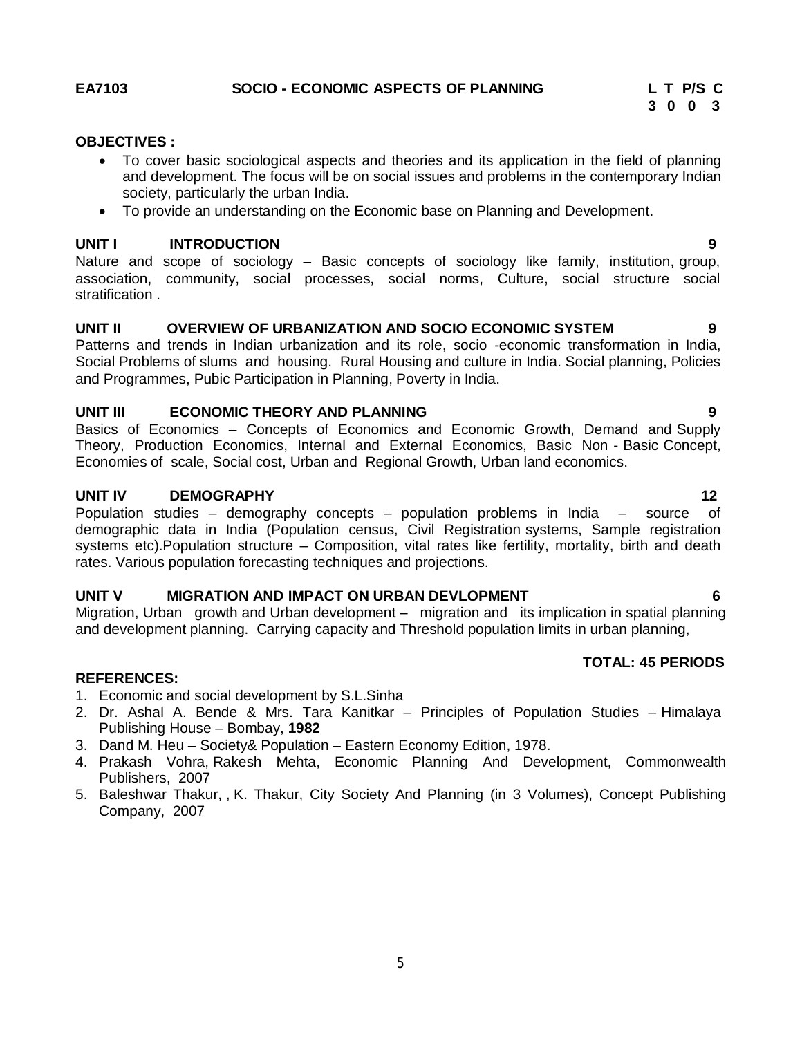#### **EA7103 SOCIO - ECONOMIC ASPECTS OF PLANNING L T P/S C**

#### **OBJECTIVES :**

- To cover basic sociological aspects and theories and its application in the field of planning and development. The focus will be on social issues and problems in the contemporary Indian society, particularly the urban India.
- To provide an understanding on the Economic base on Planning and Development.

# **UNIT I INTRODUCTION 9**

Nature and scope of sociology – Basic concepts of sociology like family, institution, group, association, community, social processes, social norms, Culture, social structure social stratification .

# **UNIT II OVERVIEW OF URBANIZATION AND SOCIO ECONOMIC SYSTEM 9**

Patterns and trends in Indian urbanization and its role, socio -economic transformation in India, Social Problems of slums and housing. Rural Housing and culture in India. Social planning, Policies and Programmes, Pubic Participation in Planning, Poverty in India.

# **UNIT III ECONOMIC THEORY AND PLANNING 9**

Basics of Economics – Concepts of Economics and Economic Growth, Demand and Supply Theory, Production Economics, Internal and External Economics, Basic Non - Basic Concept, Economies of scale, Social cost, Urban and Regional Growth, Urban land economics.

# **UNIT IV DEMOGRAPHY 12**

Population studies – demography concepts – population problems in India – source of demographic data in India (Population census, Civil Registration systems, Sample registration systems etc).Population structure – Composition, vital rates like fertility, mortality, birth and death rates. Various population forecasting techniques and projections.

# **UNIT V MIGRATION AND IMPACT ON URBAN DEVLOPMENT 6**

Migration, Urban growth and Urban development – migration and its implication in spatial planning and development planning. Carrying capacity and Threshold population limits in urban planning,

# **TOTAL: 45 PERIODS**

- 1. Economic and social development by S.L.Sinha
- 2. Dr. Ashal A. Bende & Mrs. Tara Kanitkar Principles of Population Studies Himalaya Publishing House – Bombay, **1982**
- 3. Dand M. Heu Society& Population Eastern Economy Edition, 1978.
- 4. Prakash Vohra, Rakesh Mehta, Economic Planning And Development, Commonwealth Publishers, 2007
- 5. Baleshwar Thakur, , K. Thakur, City Society And Planning (in 3 Volumes), Concept Publishing Company, 2007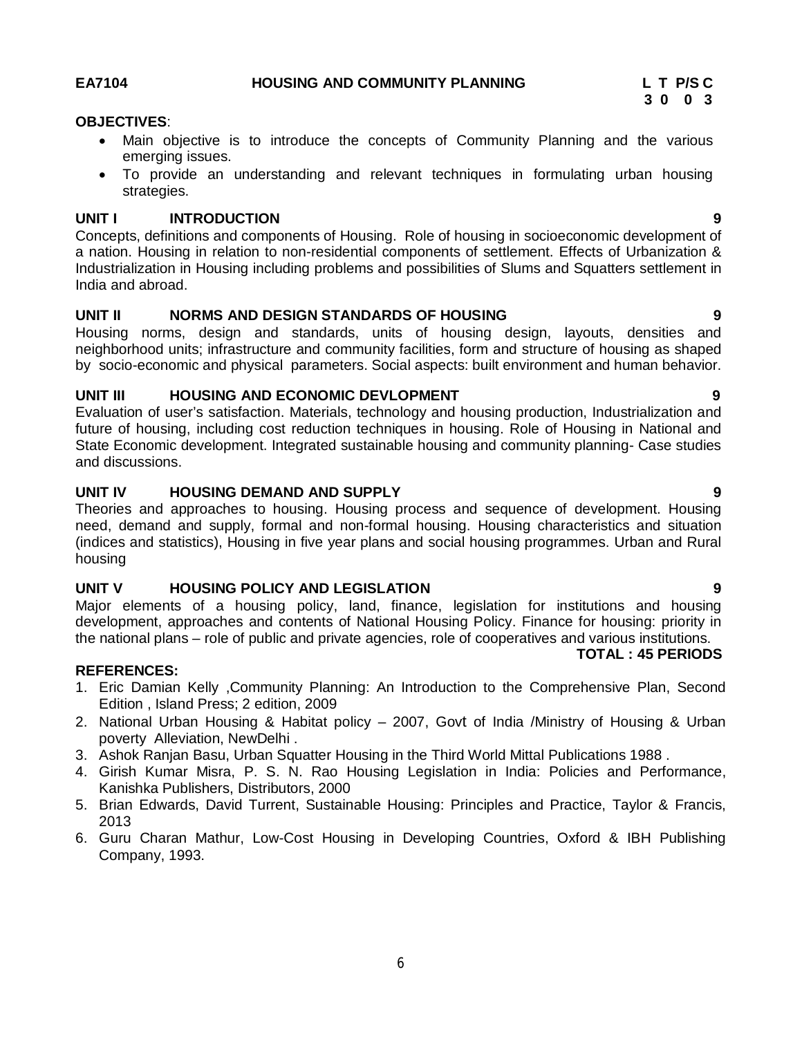#### **OBJECTIVES**:

- Main objective is to introduce the concepts of Community Planning and the various emerging issues.
- To provide an understanding and relevant techniques in formulating urban housing strategies.

#### **UNIT I INTRODUCTION 9**

Concepts, definitions and components of Housing. Role of housing in socioeconomic development of a nation. Housing in relation to non-residential components of settlement. Effects of Urbanization & Industrialization in Housing including problems and possibilities of Slums and Squatters settlement in India and abroad.

### **UNIT II NORMS AND DESIGN STANDARDS OF HOUSING 9**

Housing norms, design and standards, units of housing design, layouts, densities and neighborhood units; infrastructure and community facilities, form and structure of housing as shaped by socio-economic and physical parameters. Social aspects: built environment and human behavior.

# **UNIT III HOUSING AND ECONOMIC DEVLOPMENT 9**

Evaluation of user's satisfaction. Materials, technology and housing production, Industrialization and future of housing, including cost reduction techniques in housing. Role of Housing in National and State Economic development. Integrated sustainable housing and community planning- Case studies and discussions.

# **UNIT IV HOUSING DEMAND AND SUPPLY 9**

Theories and approaches to housing. Housing process and sequence of development. Housing need, demand and supply, formal and non-formal housing. Housing characteristics and situation (indices and statistics), Housing in five year plans and social housing programmes. Urban and Rural housing

# **UNIT V HOUSING POLICY AND LEGISLATION 9**

Major elements of a housing policy, land, finance, legislation for institutions and housing development, approaches and contents of National Housing Policy. Finance for housing: priority in the national plans – role of public and private agencies, role of cooperatives and various institutions.

# **TOTAL : 45 PERIODS**

- 1. Eric Damian Kelly ,Community Planning: An Introduction to the Comprehensive Plan, Second Edition , Island Press; 2 edition, 2009
- 2. National Urban Housing & Habitat policy 2007, Govt of India /Ministry of Housing & Urban poverty Alleviation, NewDelhi .
- 3. Ashok Ranjan Basu, Urban Squatter Housing in the Third World Mittal Publications 1988 .
- 4. Girish Kumar Misra, P. S. N. Rao Housing Legislation in India: Policies and Performance, Kanishka Publishers, Distributors, 2000
- 5. Brian Edwards, David Turrent, Sustainable Housing: Principles and Practice, Taylor & Francis, 2013
- 6. Guru Charan Mathur, Low-Cost Housing in Developing Countries, Oxford & IBH Publishing Company, 1993.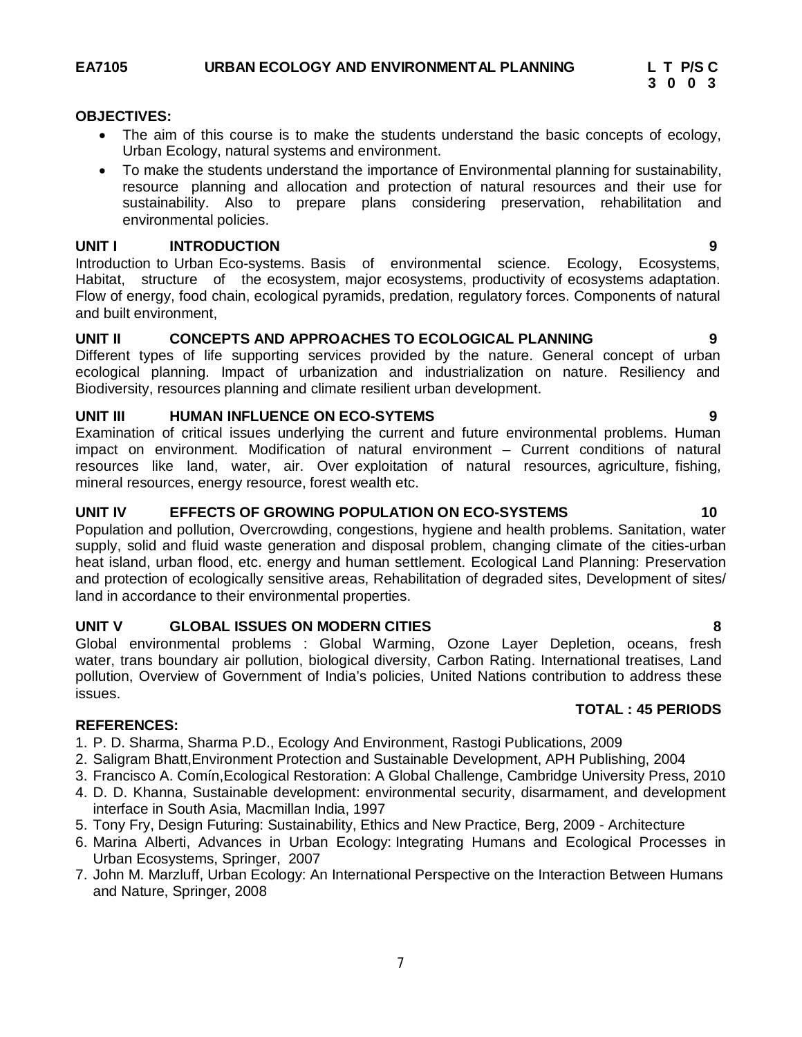#### **OBJECTIVES:**

- The aim of this course is to make the students understand the basic concepts of ecology, Urban Ecology, natural systems and environment.
- To make the students understand the importance of Environmental planning for sustainability, resource planning and allocation and protection of natural resources and their use for sustainability. Also to prepare plans considering preservation, rehabilitation and environmental policies.

#### **UNIT I INTRODUCTION 9**

Introduction to Urban Eco-systems. Basis of environmental science. Ecology, Ecosystems, Habitat, structure of the ecosystem, major ecosystems, productivity of ecosystems adaptation. Flow of energy, food chain, ecological pyramids, predation, regulatory forces. Components of natural and built environment,

# **UNIT II CONCEPTS AND APPROACHES TO ECOLOGICAL PLANNING 9**

Different types of life supporting services provided by the nature. General concept of urban ecological planning. Impact of urbanization and industrialization on nature. Resiliency and Biodiversity, resources planning and climate resilient urban development.

#### **UNIT III HUMAN INFLUENCE ON ECO-SYTEMS 9**

Examination of critical issues underlying the current and future environmental problems. Human impact on environment. Modification of natural environment – Current conditions of natural resources like land, water, air. Over exploitation of natural resources, agriculture, fishing, mineral resources, energy resource, forest wealth etc.

# **UNIT IV EFFECTS OF GROWING POPULATION ON ECO-SYSTEMS 10**

Population and pollution, Overcrowding, congestions, hygiene and health problems. Sanitation, water supply, solid and fluid waste generation and disposal problem, changing climate of the cities-urban heat island, urban flood, etc. energy and human settlement. Ecological Land Planning: Preservation and protection of ecologically sensitive areas, Rehabilitation of degraded sites, Development of sites/ land in accordance to their environmental properties.

# **UNIT V GLOBAL ISSUES ON MODERN CITIES 8**

Global environmental problems : Global Warming, Ozone Layer Depletion, oceans, fresh water, trans boundary air pollution, biological diversity, Carbon Rating. International treatises, Land pollution, Overview of Government of India's policies, United Nations contribution to address these issues.

#### **REFERENCES:**

- 1. P. D. Sharma, Sharma P.D., Ecology And Environment, Rastogi Publications, 2009
- 2. Saligram Bhatt,Environment Protection and Sustainable Development, APH Publishing, 2004
- 3. Francisco A. Comín,Ecological Restoration: A Global Challenge, Cambridge University Press, 2010
- 4. D. D. Khanna, Sustainable development: environmental security, disarmament, and development interface in South Asia, Macmillan India, 1997
- 5. Tony Fry, Design Futuring: Sustainability, Ethics and New Practice, Berg, 2009 Architecture
- 6. Marina Alberti, Advances in Urban Ecology: Integrating Humans and Ecological Processes in Urban Ecosystems, Springer, 2007
- 7. John M. Marzluff, Urban Ecology: An International Perspective on the Interaction Between Humans and Nature, Springer, 2008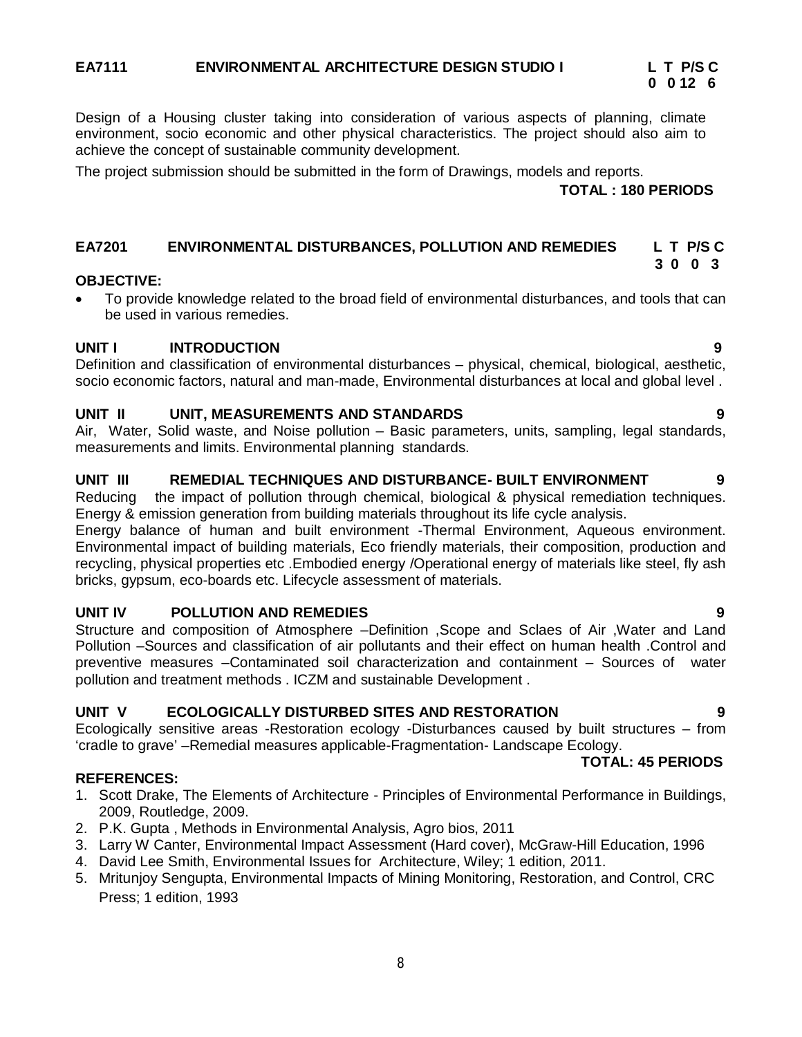Design of a Housing cluster taking into consideration of various aspects of planning, climate environment, socio economic and other physical characteristics. The project should also aim to achieve the concept of sustainable community development.

The project submission should be submitted in the form of Drawings, models and reports.

 **TOTAL : 180 PERIODS**

#### **EA7201 ENVIRONMENTAL DISTURBANCES, POLLUTION AND REMEDIES L T P/S C 3 0 0 3**

#### **OBJECTIVE:**

 To provide knowledge related to the broad field of environmental disturbances, and tools that can be used in various remedies.

#### **UNIT I INTRODUCTION 9**

Definition and classification of environmental disturbances – physical, chemical, biological, aesthetic, socio economic factors, natural and man-made, Environmental disturbances at local and global level .

#### **UNIT II UNIT, MEASUREMENTS AND STANDARDS 9**

Air, Water, Solid waste, and Noise pollution – Basic parameters, units, sampling, legal standards, measurements and limits. Environmental planning standards.

#### **UNIT III REMEDIAL TECHNIQUES AND DISTURBANCE- BUILT ENVIRONMENT 9**

Reducing the impact of pollution through chemical, biological & physical remediation techniques. Energy & emission generation from building materials throughout its life cycle analysis.

Energy balance of human and built environment -Thermal Environment, Aqueous environment. Environmental impact of building materials, Eco friendly materials, their composition, production and recycling, physical properties etc .Embodied energy /Operational energy of materials like steel, fly ash bricks, gypsum, eco-boards etc. Lifecycle assessment of materials.

#### **UNIT IV POLLUTION AND REMEDIES 9**

Structure and composition of Atmosphere –Definition ,Scope and Sclaes of Air ,Water and Land Pollution –Sources and classification of air pollutants and their effect on human health .Control and preventive measures –Contaminated soil characterization and containment – Sources of water pollution and treatment methods . ICZM and sustainable Development .

#### **UNIT V ECOLOGICALLY DISTURBED SITES AND RESTORATION 9**

Ecologically sensitive areas -Restoration ecology -Disturbances caused by built structures – from 'cradle to grave' –Remedial measures applicable-Fragmentation- Landscape Ecology.

#### **TOTAL: 45 PERIODS**

- 1. Scott Drake, The Elements of Architecture Principles of Environmental Performance in Buildings, 2009, Routledge, 2009.
- 2. P.K. Gupta , Methods in Environmental Analysis, Agro bios, 2011
- 3. Larry W Canter, Environmental Impact Assessment (Hard cover), McGraw-Hill Education, 1996
- 4. David Lee Smith, Environmental Issues for Architecture, Wiley; 1 edition, 2011.
- 5. Mritunjoy Sengupta, Environmental Impacts of Mining Monitoring, Restoration, and Control, CRC Press; 1 edition, 1993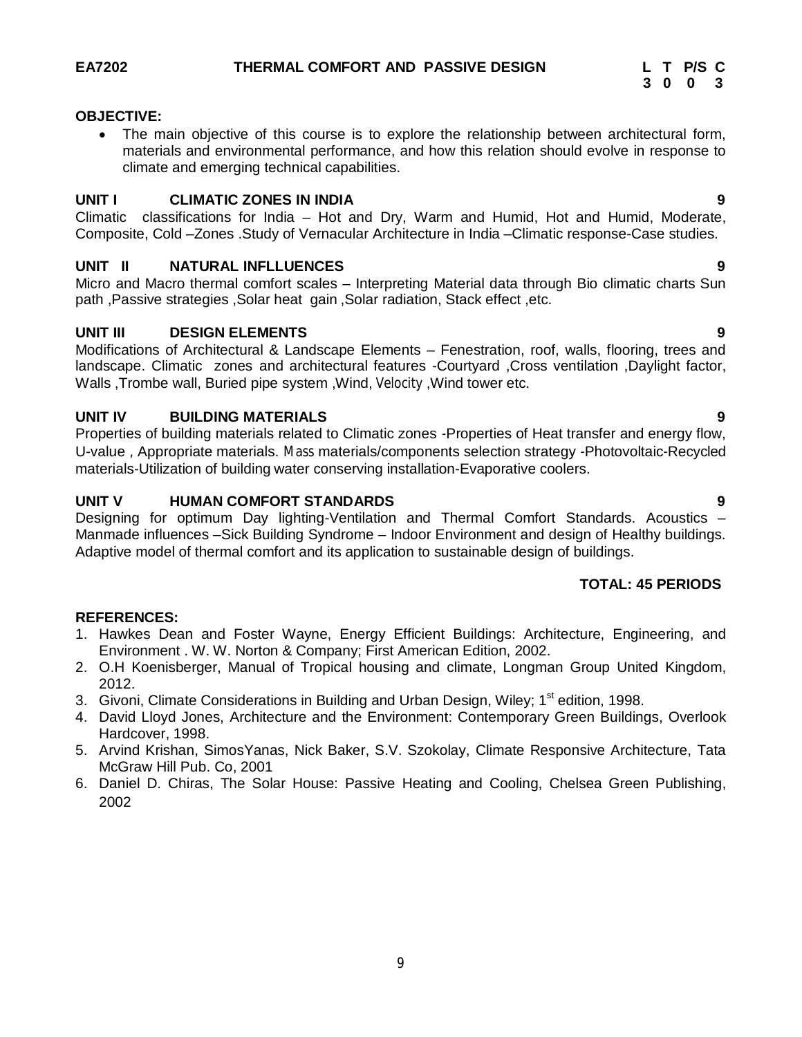# **OBJECTIVE:**

 The main objective of this course is to explore the relationship between architectural form, materials and environmental performance, and how this relation should evolve in response to climate and emerging technical capabilities.

#### **UNIT I CLIMATIC ZONES IN INDIA 9**

Climatic classifications for India – Hot and Dry, Warm and Humid, Hot and Humid, Moderate, Composite, Cold –Zones .Study of Vernacular Architecture in India –Climatic response-Case studies.

# **UNIT II NATURAL INFLLUENCES 9**

Micro and Macro thermal comfort scales – Interpreting Material data through Bio climatic charts Sun path ,Passive strategies ,Solar heat gain ,Solar radiation, Stack effect ,etc.

# **UNIT III DESIGN ELEMENTS 9**

Modifications of Architectural & Landscape Elements – Fenestration, roof, walls, flooring, trees and landscape. Climatic zones and architectural features -Courtyard ,Cross ventilation ,Daylight factor, Walls ,Trombe wall, Buried pipe system ,Wind, Velocity ,Wind tower etc.

# **UNIT IV BUILDING MATERIALS 9**

Properties of building materials related to Climatic zones -Properties of Heat transfer and energy flow, U-value , Appropriate materials. Mass materials/components selection strategy -Photovoltaic-Recycled materials-Utilization of building water conserving installation-Evaporative coolers.

# **UNIT V HUMAN COMFORT STANDARDS 9**

Designing for optimum Day lighting-Ventilation and Thermal Comfort Standards. Acoustics – Manmade influences –Sick Building Syndrome – Indoor Environment and design of Healthy buildings. Adaptive model of thermal comfort and its application to sustainable design of buildings.

# **TOTAL: 45 PERIODS**

- 1. Hawkes Dean and Foster Wayne, Energy Efficient Buildings: Architecture, Engineering, and Environment . W. W. Norton & Company; First American Edition, 2002.
- 2. O.H Koenisberger, Manual of Tropical housing and climate, Longman Group United Kingdom, 2012.
- 3. Givoni, Climate Considerations in Building and Urban Design, Wiley; 1<sup>st</sup> edition, 1998.
- 4. David Lloyd Jones, Architecture and the Environment: Contemporary Green Buildings, Overlook Hardcover, 1998.
- 5. Arvind Krishan, SimosYanas, Nick Baker, S.V. Szokolay, Climate Responsive Architecture, Tata McGraw Hill Pub. Co, 2001
- 6. Daniel D. Chiras, The Solar House: Passive Heating and Cooling, Chelsea Green Publishing, 2002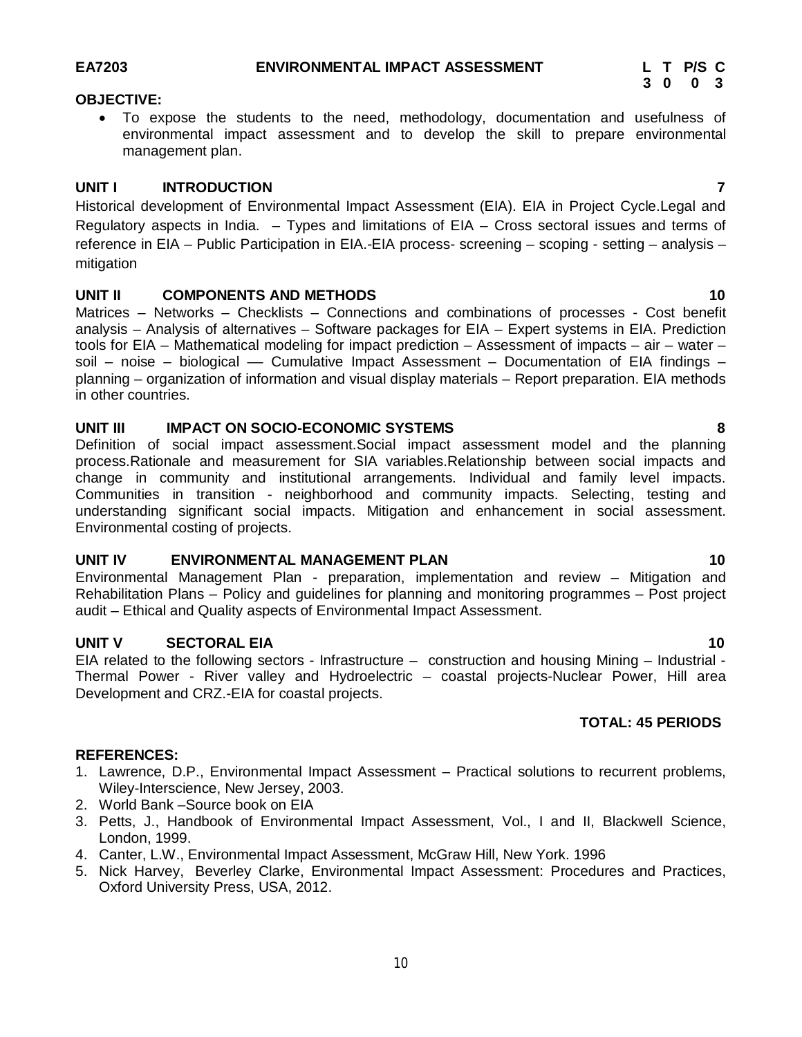### **OBJECTIVE:**

 To expose the students to the need, methodology, documentation and usefulness of environmental impact assessment and to develop the skill to prepare environmental management plan.

# **UNIT I INTRODUCTION 7**

Historical development of Environmental Impact Assessment (EIA). EIA in Project Cycle.Legal and Regulatory aspects in India. – Types and limitations of EIA – Cross sectoral issues and terms of reference in EIA – Public Participation in EIA.-EIA process- screening – scoping - setting – analysis – mitigation

# **UNIT II COMPONENTS AND METHODS** 20 **10 10**

Matrices – Networks – Checklists – Connections and combinations of processes - Cost benefit analysis – Analysis of alternatives – Software packages for EIA – Expert systems in EIA. Prediction tools for EIA – Mathematical modeling for impact prediction – Assessment of impacts – air – water – soil – noise – biological – Cumulative Impact Assessment – Documentation of EIA findings – planning – organization of information and visual display materials – Report preparation. EIA methods in other countries.

# **UNIT III IMPACT ON SOCIO-ECONOMIC SYSTEMS 8**

Definition of social impact assessment.Social impact assessment model and the planning process.Rationale and measurement for SIA variables.Relationship between social impacts and change in community and institutional arrangements. Individual and family level impacts. Communities in transition - neighborhood and community impacts. Selecting, testing and understanding significant social impacts. Mitigation and enhancement in social assessment. Environmental costing of projects.

# **UNIT IV ENVIRONMENTAL MANAGEMENT PLAN 10**

Environmental Management Plan - preparation, implementation and review – Mitigation and Rehabilitation Plans – Policy and guidelines for planning and monitoring programmes – Post project audit – Ethical and Quality aspects of Environmental Impact Assessment.

# **UNIT V SECTORAL EIA 10**

EIA related to the following sectors - Infrastructure – construction and housing Mining – Industrial - Thermal Power - River valley and Hydroelectric – coastal projects-Nuclear Power, Hill area Development and CRZ.-EIA for coastal projects.

# **TOTAL: 45 PERIODS**

- 1. Lawrence, D.P., Environmental Impact Assessment Practical solutions to recurrent problems, Wiley-Interscience, New Jersey, 2003.
- 2. World Bank –Source book on EIA
- 3. Petts, J., Handbook of Environmental Impact Assessment, Vol., I and II, Blackwell Science, London, 1999.
- 4. Canter, L.W., Environmental Impact Assessment, McGraw Hill, New York. 1996
- 5. Nick Harvey, Beverley Clarke, Environmental Impact Assessment: Procedures and Practices, Oxford University Press, USA, 2012.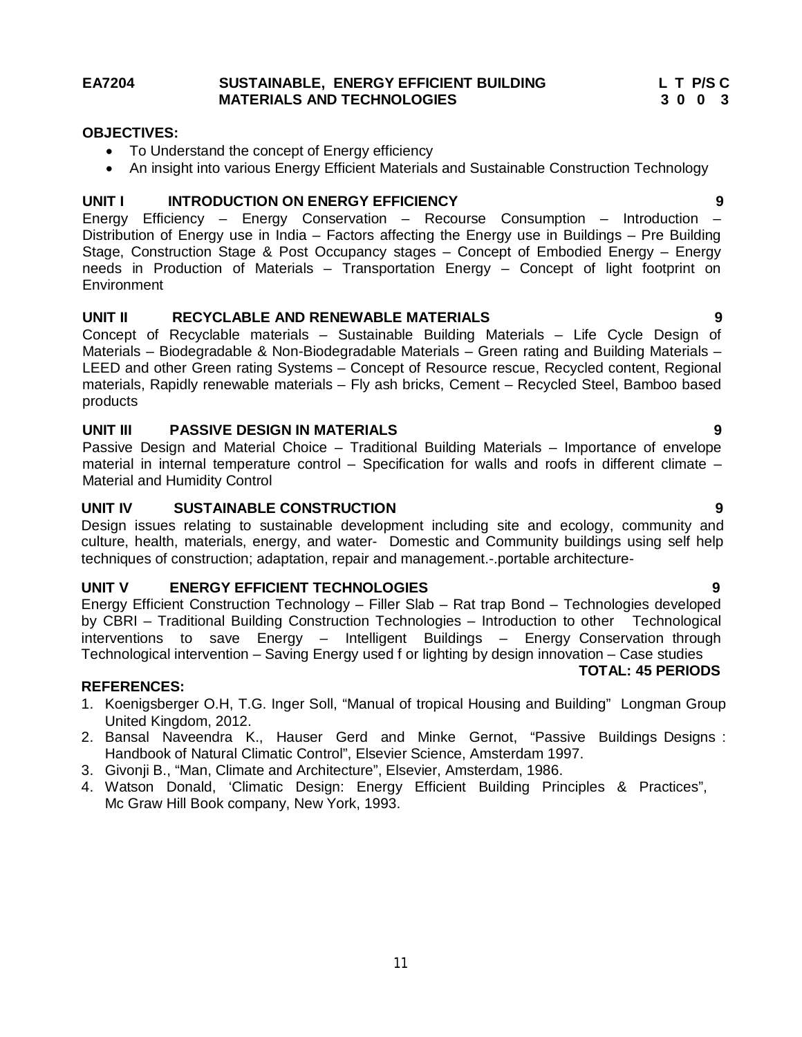#### **EA7204 SUSTAINABLE, ENERGY EFFICIENT BUILDING L T P/S C MATERIALS AND TECHNOLOGIES 3 0 0 3**

### **OBJECTIVES:**

- To Understand the concept of Energy efficiency
- An insight into various Energy Efficient Materials and Sustainable Construction Technology

### **UNIT I INTRODUCTION ON ENERGY EFFICIENCY 9**

Energy Efficiency – Energy Conservation – Recourse Consumption – Introduction – Distribution of Energy use in India – Factors affecting the Energy use in Buildings – Pre Building Stage, Construction Stage & Post Occupancy stages – Concept of Embodied Energy – Energy needs in Production of Materials – Transportation Energy – Concept of light footprint on Environment

# **UNIT II RECYCLABLE AND RENEWABLE MATERIALS 9**

Concept of Recyclable materials – Sustainable Building Materials – Life Cycle Design of Materials – Biodegradable & Non-Biodegradable Materials – Green rating and Building Materials – LEED and other Green rating Systems – Concept of Resource rescue, Recycled content, Regional materials, Rapidly renewable materials – Fly ash bricks, Cement – Recycled Steel, Bamboo based products

### **UNIT III PASSIVE DESIGN IN MATERIALS 9**

Passive Design and Material Choice – Traditional Building Materials – Importance of envelope material in internal temperature control – Specification for walls and roofs in different climate – Material and Humidity Control

### **UNIT IV SUSTAINABLE CONSTRUCTION 9**

Design issues relating to sustainable development including site and ecology, community and culture, health, materials, energy, and water- Domestic and Community buildings using self help techniques of construction; adaptation, repair and management.-.portable architecture-

# **UNIT V ENERGY EFFICIENT TECHNOLOGIES 9**

Energy Efficient Construction Technology – Filler Slab – Rat trap Bond – Technologies developed by CBRI – Traditional Building Construction Technologies – Introduction to other Technological interventions to save Energy – Intelligent Buildings – Energy Conservation through Technological intervention – Saving Energy used f or lighting by design innovation – Case studies

#### **REFERENCES:**

- 1. Koenigsberger O.H, T.G. Inger Soll, "Manual of tropical Housing and Building" Longman Group United Kingdom, 2012.
- 2. Bansal Naveendra K., Hauser Gerd and Minke Gernot, "Passive Buildings Designs : Handbook of Natural Climatic Control", Elsevier Science, Amsterdam 1997.
- 3. Givonji B., "Man, Climate and Architecture", Elsevier, Amsterdam, 1986.
- 4. Watson Donald, 'Climatic Design: Energy Efficient Building Principles & Practices", Mc Graw Hill Book company, New York, 1993.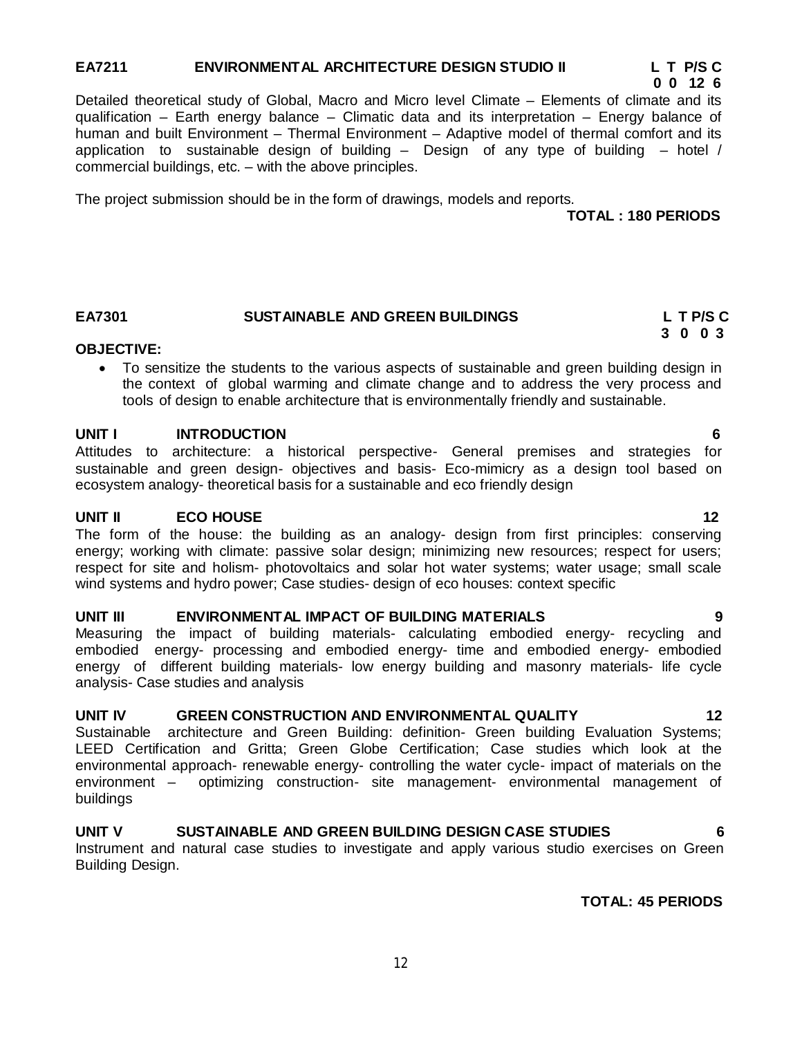#### **EA7211 ENVIRONMENTAL ARCHITECTURE DESIGN STUDIO II L T P/S C**

 **0 0 12 6**

Detailed theoretical study of Global, Macro and Micro level Climate – Elements of climate and its qualification – Earth energy balance – Climatic data and its interpretation – Energy balance of human and built Environment – Thermal Environment – Adaptive model of thermal comfort and its application to sustainable design of building  $-$  Design of any type of building  $-$  hotel / commercial buildings, etc. – with the above principles.

The project submission should be in the form of drawings, models and reports.

 **TOTAL : 180 PERIODS**

# **EA7301 SUSTAINABLE AND GREEN BUILDINGS L T P/S C**

#### **OBJECTIVE:**

 To sensitize the students to the various aspects of sustainable and green building design in the context of global warming and climate change and to address the very process and tools of design to enable architecture that is environmentally friendly and sustainable.

# **UNIT I INTRODUCTION 6**

Attitudes to architecture: a historical perspective- General premises and strategies for sustainable and green design- objectives and basis- Eco-mimicry as a design tool based on ecosystem analogy- theoretical basis for a sustainable and eco friendly design

#### **UNIT II ECO HOUSE 12**

The form of the house: the building as an analogy- design from first principles: conserving energy; working with climate: passive solar design; minimizing new resources; respect for users; respect for site and holism- photovoltaics and solar hot water systems; water usage; small scale wind systems and hydro power; Case studies- design of eco houses: context specific

#### **UNIT III ENVIRONMENTAL IMPACT OF BUILDING MATERIALS 9**

Measuring the impact of building materials- calculating embodied energy- recycling and embodied energy- processing and embodied energy- time and embodied energy- embodied energy of different building materials- low energy building and masonry materials- life cycle analysis- Case studies and analysis

#### **UNIT IV GREEN CONSTRUCTION AND ENVIRONMENTAL QUALITY 12**

Sustainable architecture and Green Building: definition- Green building Evaluation Systems; LEED Certification and Gritta; Green Globe Certification; Case studies which look at the environmental approach- renewable energy- controlling the water cycle- impact of materials on the environment – optimizing construction- site management- environmental management of buildings

#### **UNIT V SUSTAINABLE AND GREEN BUILDING DESIGN CASE STUDIES 6**

Instrument and natural case studies to investigate and apply various studio exercises on Green Building Design.

 **TOTAL: 45 PERIODS**

 **3 0 0 3**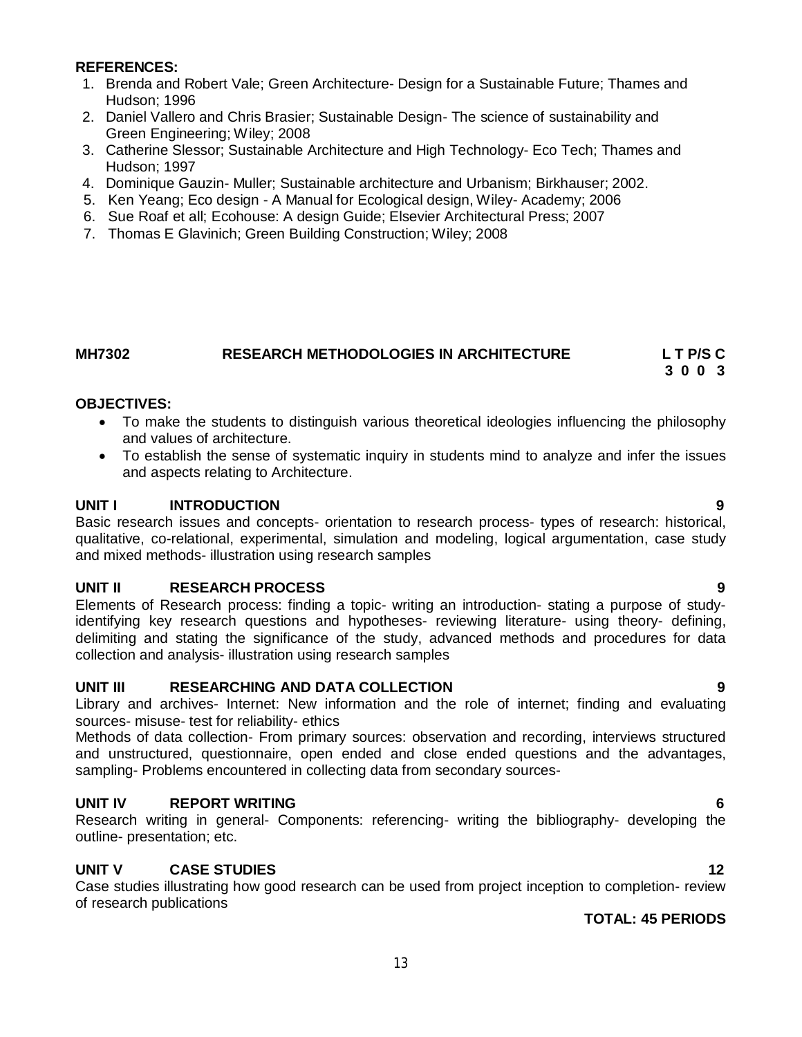# **REFERENCES:**

- 1. Brenda and Robert Vale; Green Architecture- Design for a Sustainable Future; Thames and Hudson; 1996
- 2. Daniel Vallero and Chris Brasier; Sustainable Design- The science of sustainability and Green Engineering; Wiley; 2008
- 3. Catherine Slessor; Sustainable Architecture and High Technology- Eco Tech; Thames and Hudson; 1997
- 4. Dominique Gauzin- Muller; Sustainable architecture and Urbanism; Birkhauser; 2002.
- 5. Ken Yeang; Eco design A Manual for Ecological design, Wiley- Academy; 2006
- 6. Sue Roaf et all; Ecohouse: A design Guide; Elsevier Architectural Press; 2007
- 7. Thomas E Glavinich; Green Building Construction; Wiley; 2008

# **MH7302 RESEARCH METHODOLOGIES IN ARCHITECTURE L T P/S C 3 0 0 3**

# **OBJECTIVES:**

- To make the students to distinguish various theoretical ideologies influencing the philosophy and values of architecture.
- To establish the sense of systematic inquiry in students mind to analyze and infer the issues and aspects relating to Architecture.

### **UNIT I INTRODUCTION 9**

Basic research issues and concepts- orientation to research process- types of research: historical, qualitative, co-relational, experimental, simulation and modeling, logical argumentation, case study and mixed methods- illustration using research samples

# **UNIT II RESEARCH PROCESS 9**

Elements of Research process: finding a topic- writing an introduction- stating a purpose of studyidentifying key research questions and hypotheses- reviewing literature- using theory- defining, delimiting and stating the significance of the study, advanced methods and procedures for data collection and analysis- illustration using research samples

#### **UNIT III RESEARCHING AND DATA COLLECTION 9**

Library and archives- Internet: New information and the role of internet; finding and evaluating sources- misuse- test for reliability- ethics

Methods of data collection- From primary sources: observation and recording, interviews structured and unstructured, questionnaire, open ended and close ended questions and the advantages, sampling- Problems encountered in collecting data from secondary sources-

# **UNIT IV REPORT WRITING 6**

Research writing in general- Components: referencing- writing the bibliography- developing the outline- presentation; etc.

# **UNIT V** CASE STUDIES 22

Case studies illustrating how good research can be used from project inception to completion- review of research publications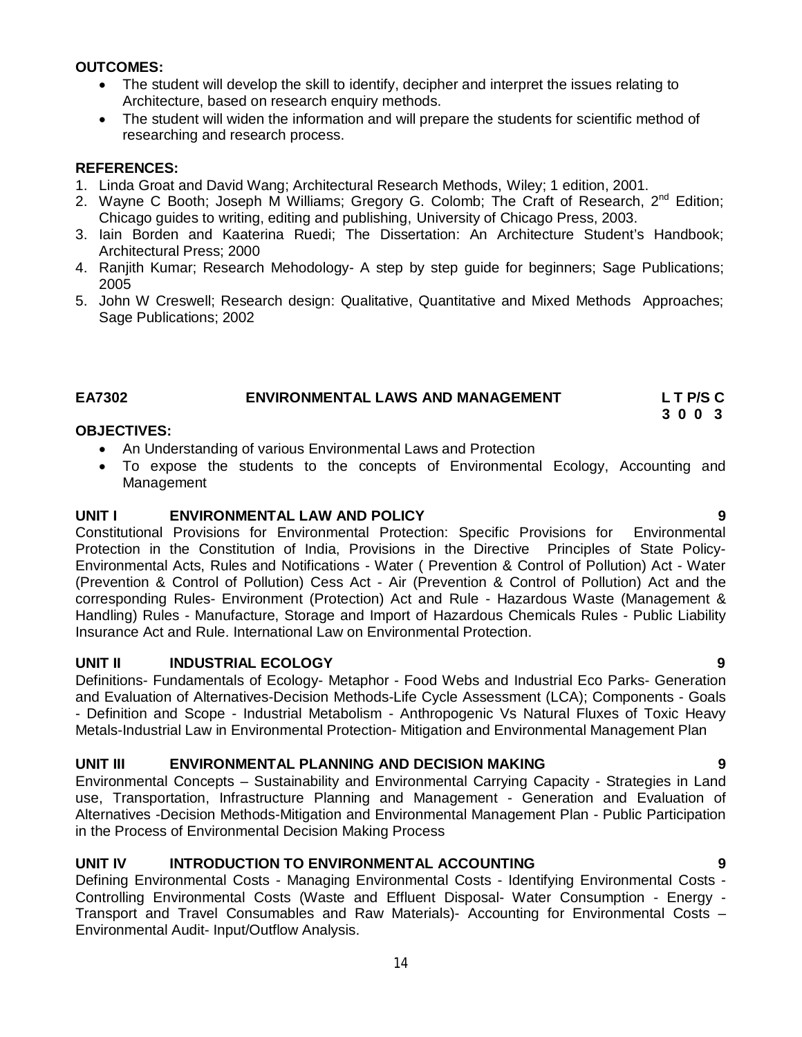# **OUTCOMES:**

- The student will develop the skill to identify, decipher and interpret the issues relating to Architecture, based on research enquiry methods.
- The student will widen the information and will prepare the students for scientific method of researching and research process.

# **REFERENCES:**

- 1. Linda Groat and David Wang; Architectural Research Methods, Wiley; 1 edition, 2001.
- 2. Wayne C Booth; Joseph M Williams; Gregory G. Colomb; The Craft of Research, 2<sup>nd</sup> Edition; Chicago guides to writing, editing and publishing, University of Chicago Press, 2003.
- 3. Iain Borden and Kaaterina Ruedi; The Dissertation: An Architecture Student's Handbook; Architectural Press; 2000
- 4. Ranjith Kumar; Research Mehodology- A step by step guide for beginners; Sage Publications; 2005
- 5. John W Creswell; Research design: Qualitative, Quantitative and Mixed Methods Approaches; Sage Publications; 2002

#### **EA7302 ENVIRONMENTAL LAWS AND MANAGEMENT L T P/S C 3 0 0 3**

# **OBJECTIVES:**

- An Understanding of various Environmental Laws and Protection
- To expose the students to the concepts of Environmental Ecology, Accounting and Management

# **UNIT I ENVIRONMENTAL LAW AND POLICY 9**

Constitutional Provisions for Environmental Protection: Specific Provisions for Environmental Protection in the Constitution of India, Provisions in the Directive Principles of State Policy-Environmental Acts, Rules and Notifications - Water ( Prevention & Control of Pollution) Act - Water (Prevention & Control of Pollution) Cess Act - Air (Prevention & Control of Pollution) Act and the corresponding Rules- Environment (Protection) Act and Rule - Hazardous Waste (Management & Handling) Rules - Manufacture, Storage and Import of Hazardous Chemicals Rules - Public Liability Insurance Act and Rule. International Law on Environmental Protection.

# **UNIT II INDUSTRIAL ECOLOGY 9**

Definitions- Fundamentals of Ecology- Metaphor - Food Webs and Industrial Eco Parks- Generation and Evaluation of Alternatives-Decision Methods-Life Cycle Assessment (LCA); Components - Goals - Definition and Scope - Industrial Metabolism - Anthropogenic Vs Natural Fluxes of Toxic Heavy Metals-Industrial Law in Environmental Protection- Mitigation and Environmental Management Plan

# **UNIT III ENVIRONMENTAL PLANNING AND DECISION MAKING 9**

Environmental Concepts – Sustainability and Environmental Carrying Capacity - Strategies in Land use, Transportation, Infrastructure Planning and Management - Generation and Evaluation of Alternatives -Decision Methods-Mitigation and Environmental Management Plan - Public Participation in the Process of Environmental Decision Making Process

# **UNIT IV INTRODUCTION TO ENVIRONMENTAL ACCOUNTING 9**

Defining Environmental Costs - Managing Environmental Costs - Identifying Environmental Costs - Controlling Environmental Costs (Waste and Effluent Disposal- Water Consumption - Energy - Transport and Travel Consumables and Raw Materials)- Accounting for Environmental Costs – Environmental Audit- Input/Outflow Analysis.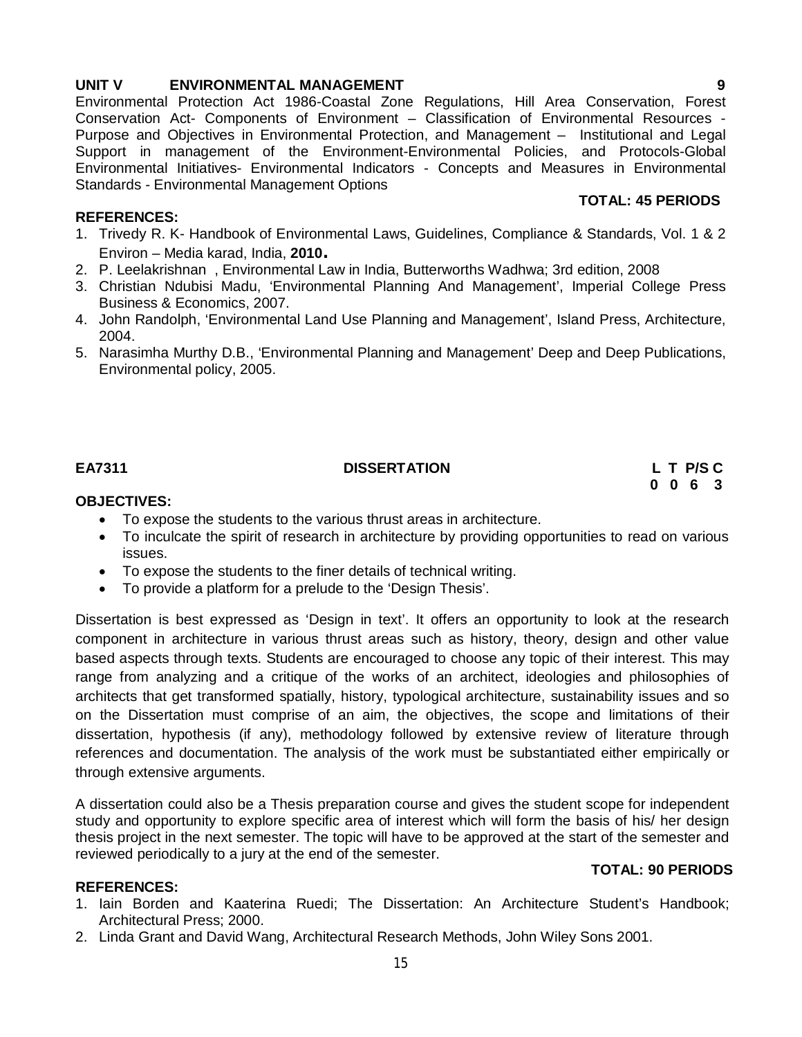# **UNIT V ENVIRONMENTAL MANAGEMENT 1999**

Environmental Protection Act 1986-Coastal Zone Regulations, Hill Area Conservation, Forest Conservation Act- Components of Environment – Classification of Environmental Resources - Purpose and Objectives in Environmental Protection, and Management – Institutional and Legal Support in management of the Environment-Environmental Policies, and Protocols-Global Environmental Initiatives- Environmental Indicators - Concepts and Measures in Environmental Standards - Environmental Management Options

### **REFERENCES:**

- 1. Trivedy R. K- Handbook of Environmental Laws, Guidelines, Compliance & Standards, Vol. 1 & 2 Environ – Media karad, India, **2010.**
- 2. P. Leelakrishnan , Environmental Law in India, Butterworths Wadhwa; 3rd edition, 2008
- 3. Christian Ndubisi Madu, 'Environmental Planning And Management', Imperial College Press Business & Economics, 2007.
- 4. John Randolph, 'Environmental Land Use Planning and Management', Island Press, Architecture, 2004.
- 5. Narasimha Murthy D.B., 'Environmental Planning and Management' Deep and Deep Publications, Environmental policy, 2005.

EA7311 DISSERTATION L T P/S C<br>0 0 6 3  **0 0 6 3** 

**TOTAL: 90 PERIODS**

# **OBJECTIVES:**

- To expose the students to the various thrust areas in architecture.
- To inculcate the spirit of research in architecture by providing opportunities to read on various issues.
- To expose the students to the finer details of technical writing.
- To provide a platform for a prelude to the 'Design Thesis'.

Dissertation is best expressed as 'Design in text'. It offers an opportunity to look at the research component in architecture in various thrust areas such as history, theory, design and other value based aspects through texts. Students are encouraged to choose any topic of their interest. This may range from analyzing and a critique of the works of an architect, ideologies and philosophies of architects that get transformed spatially, history, typological architecture, sustainability issues and so on the Dissertation must comprise of an aim, the objectives, the scope and limitations of their dissertation, hypothesis (if any), methodology followed by extensive review of literature through references and documentation. The analysis of the work must be substantiated either empirically or through extensive arguments.

A dissertation could also be a Thesis preparation course and gives the student scope for independent study and opportunity to explore specific area of interest which will form the basis of his/ her design thesis project in the next semester. The topic will have to be approved at the start of the semester and reviewed periodically to a jury at the end of the semester.

# **REFERENCES:**

- 1. Iain Borden and Kaaterina Ruedi; The Dissertation: An Architecture Student's Handbook; Architectural Press; 2000.
- 2. Linda Grant and David Wang, Architectural Research Methods, John Wiley Sons 2001.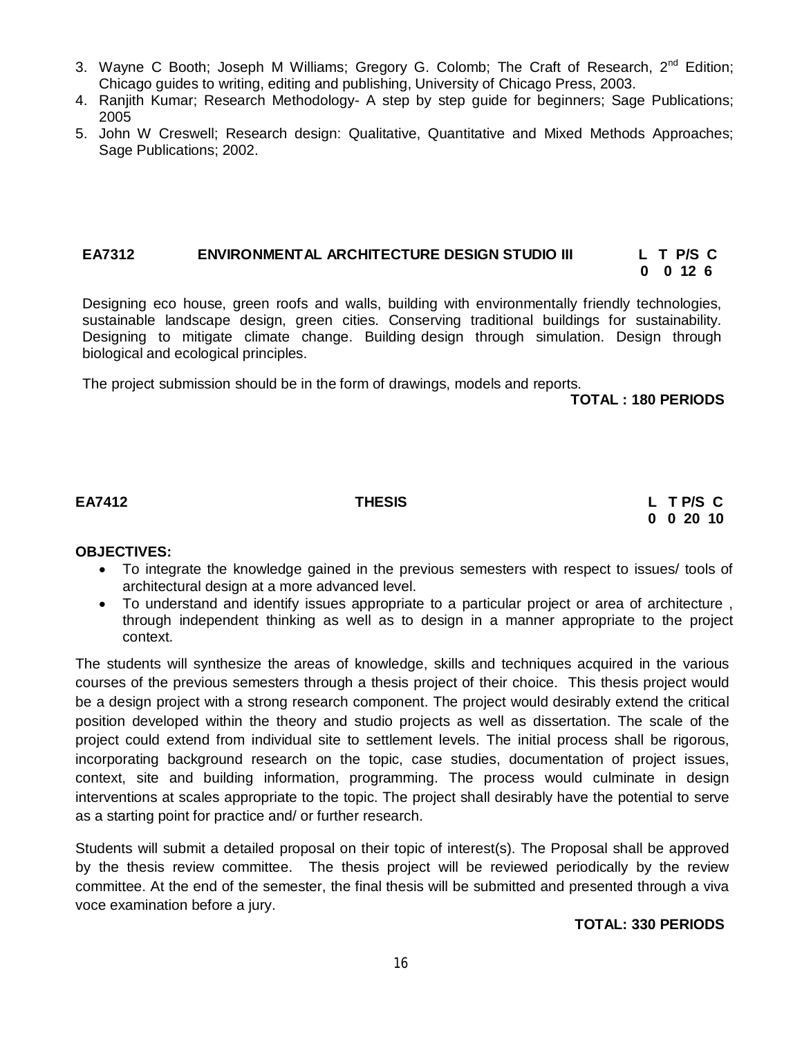- 3. Wayne C Booth; Joseph M Williams; Gregory G. Colomb; The Craft of Research, 2<sup>nd</sup> Edition; Chicago guides to writing, editing and publishing, University of Chicago Press, 2003.
- 4. Ranjith Kumar; Research Methodology- A step by step guide for beginners; Sage Publications; 2005
- 5. John W Creswell; Research design: Qualitative, Quantitative and Mixed Methods Approaches; Sage Publications; 2002.

# **EA7312 ENVIRONMENTAL ARCHITECTURE DESIGN STUDIO III L T P/S C**

**0 0 12 6**

Designing eco house, green roofs and walls, building with environmentally friendly technologies, sustainable landscape design, green cities. Conserving traditional buildings for sustainability. Designing to mitigate climate change. Building design through simulation. Design through biological and ecological principles.

The project submission should be in the form of drawings, models and reports.

 **TOTAL : 180 PERIODS**

**EA7412 THESIS L T P/S C 0 0 20 10**

# **OBJECTIVES:**

- To integrate the knowledge gained in the previous semesters with respect to issues/ tools of architectural design at a more advanced level.
- To understand and identify issues appropriate to a particular project or area of architecture , through independent thinking as well as to design in a manner appropriate to the project context.

The students will synthesize the areas of knowledge, skills and techniques acquired in the various courses of the previous semesters through a thesis project of their choice. This thesis project would be a design project with a strong research component. The project would desirably extend the critical position developed within the theory and studio projects as well as dissertation. The scale of the project could extend from individual site to settlement levels. The initial process shall be rigorous, incorporating background research on the topic, case studies, documentation of project issues, context, site and building information, programming. The process would culminate in design interventions at scales appropriate to the topic. The project shall desirably have the potential to serve as a starting point for practice and/ or further research.

Students will submit a detailed proposal on their topic of interest(s). The Proposal shall be approved by the thesis review committee. The thesis project will be reviewed periodically by the review committee. At the end of the semester, the final thesis will be submitted and presented through a viva voce examination before a jury.

 **TOTAL: 330 PERIODS**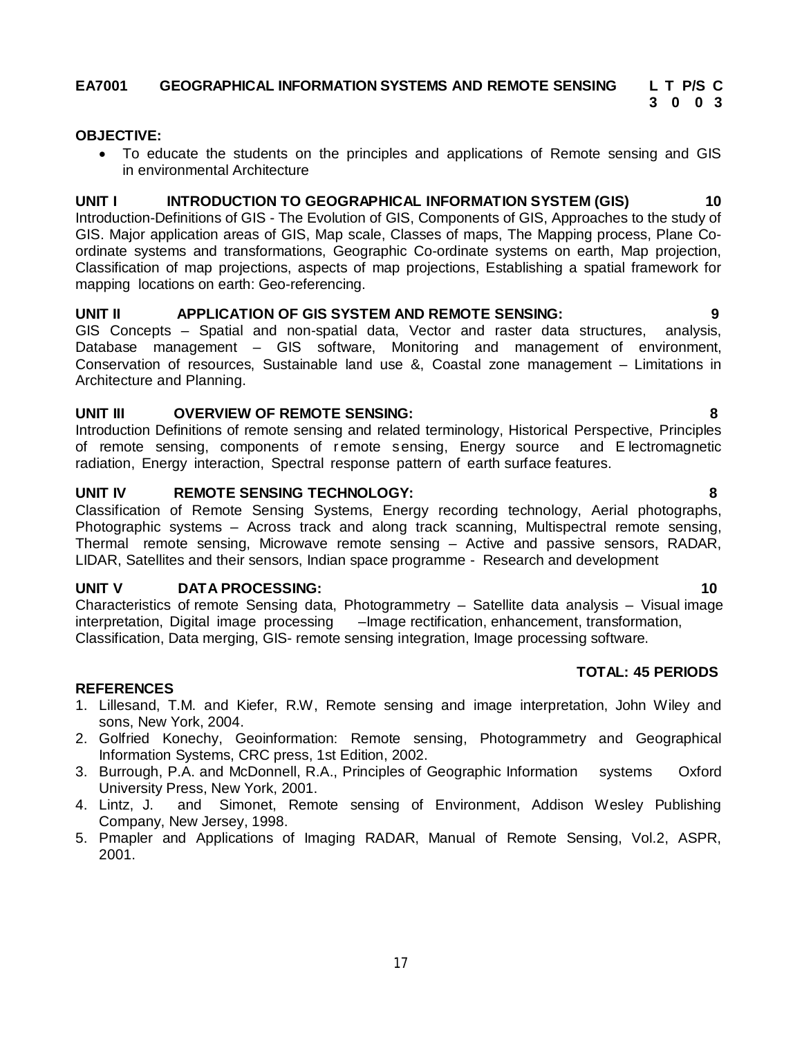# **EA7001 GEOGRAPHICAL INFORMATION SYSTEMS AND REMOTE SENSING L T P/S C**

# **OBJECTIVE:**

 To educate the students on the principles and applications of Remote sensing and GIS in environmental Architecture

 **3 0 0 3**

### **UNIT I INTRODUCTION TO GEOGRAPHICAL INFORMATION SYSTEM (GIS) 10**

Introduction-Definitions of GIS - The Evolution of GIS, Components of GIS, Approaches to the study of GIS. Major application areas of GIS, Map scale, Classes of maps, The Mapping process, Plane Coordinate systems and transformations, Geographic Co-ordinate systems on earth, Map projection, Classification of map projections, aspects of map projections, Establishing a spatial framework for mapping locations on earth: Geo-referencing.

#### **UNIT II APPLICATION OF GIS SYSTEM AND REMOTE SENSING: 9**

GIS Concepts – Spatial and non-spatial data, Vector and raster data structures, analysis, Database management – GIS software, Monitoring and management of environment, Conservation of resources, Sustainable land use &, Coastal zone management – Limitations in Architecture and Planning.

### **UNIT III OVERVIEW OF REMOTE SENSING: 8**

Introduction Definitions of remote sensing and related terminology, Historical Perspective, Principles of remote sensing, components of r emote sensing, Energy source and E lectromagnetic radiation, Energy interaction, Spectral response pattern of earth surface features.

# **UNIT IV REMOTE SENSING TECHNOLOGY: 8**

Classification of Remote Sensing Systems, Energy recording technology, Aerial photographs, Photographic systems – Across track and along track scanning, Multispectral remote sensing, Thermal remote sensing, Microwave remote sensing – Active and passive sensors, RADAR, LIDAR, Satellites and their sensors, Indian space programme - Research and development

# **UNIT V DATA PROCESSING: 10**

Characteristics of remote Sensing data, Photogrammetry – Satellite data analysis – Visual image interpretation, Digital image processing –Image rectification, enhancement, transformation, Classification, Data merging, GIS- remote sensing integration, Image processing software.

#### **REFERENCES**

- 1. Lillesand, T.M. and Kiefer, R.W, Remote sensing and image interpretation, John Wiley and sons, New York, 2004.
- 2. Golfried Konechy, Geoinformation: Remote sensing, Photogrammetry and Geographical Information Systems, CRC press, 1st Edition, 2002.
- 3. Burrough, P.A. and McDonnell, R.A., Principles of Geographic Information systems Oxford University Press, New York, 2001.
- 4. Lintz, J. and Simonet, Remote sensing of Environment, Addison Wesley Publishing Company, New Jersey, 1998.
- 5. Pmapler and Applications of Imaging RADAR, Manual of Remote Sensing, Vol.2, ASPR, 2001.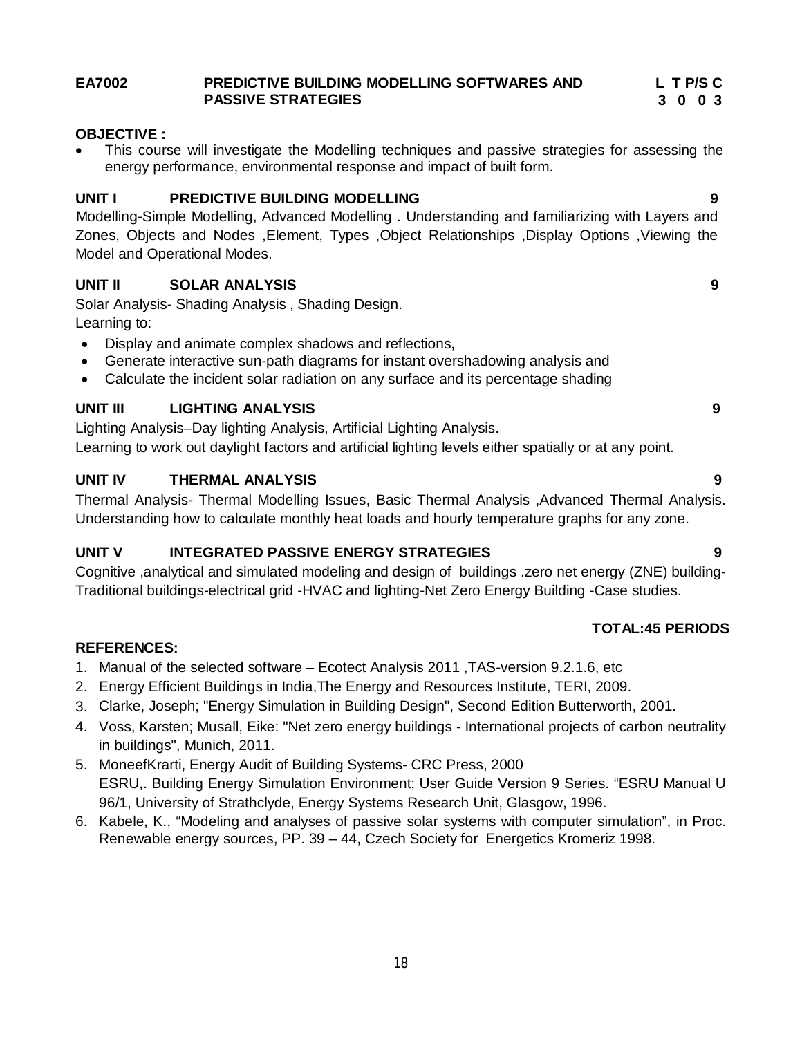#### **EA7002 PREDICTIVE BUILDING MODELLING SOFTWARES AND L T P/S C PASSIVE STRATEGIES 3 0 0 3**

# **OBJECTIVE :**

 This course will investigate the Modelling techniques and passive strategies for assessing the energy performance, environmental response and impact of built form.

# **UNIT I PREDICTIVE BUILDING MODELLING 9**

 Modelling-Simple Modelling, Advanced Modelling . Understanding and familiarizing with Layers and Zones, Objects and Nodes ,Element, Types ,Object Relationships ,Display Options ,Viewing the Model and Operational Modes.

# **UNIT II SOLAR ANALYSIS 9**

Solar Analysis- Shading Analysis , Shading Design. Learning to:

- Display and animate complex shadows and reflections,
- Generate interactive sun-path diagrams for instant overshadowing analysis and
- Calculate the incident solar radiation on any surface and its percentage shading

# **UNIT III LIGHTING ANALYSIS 9**

Lighting Analysis–Day lighting Analysis, Artificial Lighting Analysis.

Learning to work out daylight factors and artificial lighting levels either spatially or at any point.

# **UNIT IV THERMAL ANALYSIS 9**

Thermal Analysis- Thermal Modelling Issues, Basic Thermal Analysis ,Advanced Thermal Analysis. Understanding how to calculate monthly heat loads and hourly temperature graphs for any zone.

# **UNIT V INTEGRATED PASSIVE ENERGY STRATEGIES 9**

Cognitive ,analytical and simulated modeling and design of buildings .zero net energy (ZNE) building-Traditional buildings-electrical grid -HVAC and lighting-Net Zero Energy Building -Case studies.

# **REFERENCES:**

- 1. Manual of the selected software Ecotect Analysis 2011 ,TAS-version 9.2.1.6, etc
- 2. Energy Efficient Buildings in India,The Energy and Resources Institute, TERI, 2009.
- 3. Clarke, Joseph; "Energy Simulation in Building Design", Second Edition Butterworth, 2001.
- 4. Voss, Karsten; Musall, Eike: "Net zero energy buildings International projects of carbon neutrality in buildings", Munich, 2011.
- 5. MoneefKrarti, Energy Audit of Building Systems- CRC Press, 2000 ESRU,. Building Energy Simulation Environment; User Guide Version 9 Series. "ESRU Manual U 96/1, University of Strathclyde, Energy Systems Research Unit, Glasgow, 1996.
- 6. Kabele, K., "Modeling and analyses of passive solar systems with computer simulation", in Proc. Renewable energy sources, PP. 39 – 44, Czech Society for Energetics Kromeriz 1998.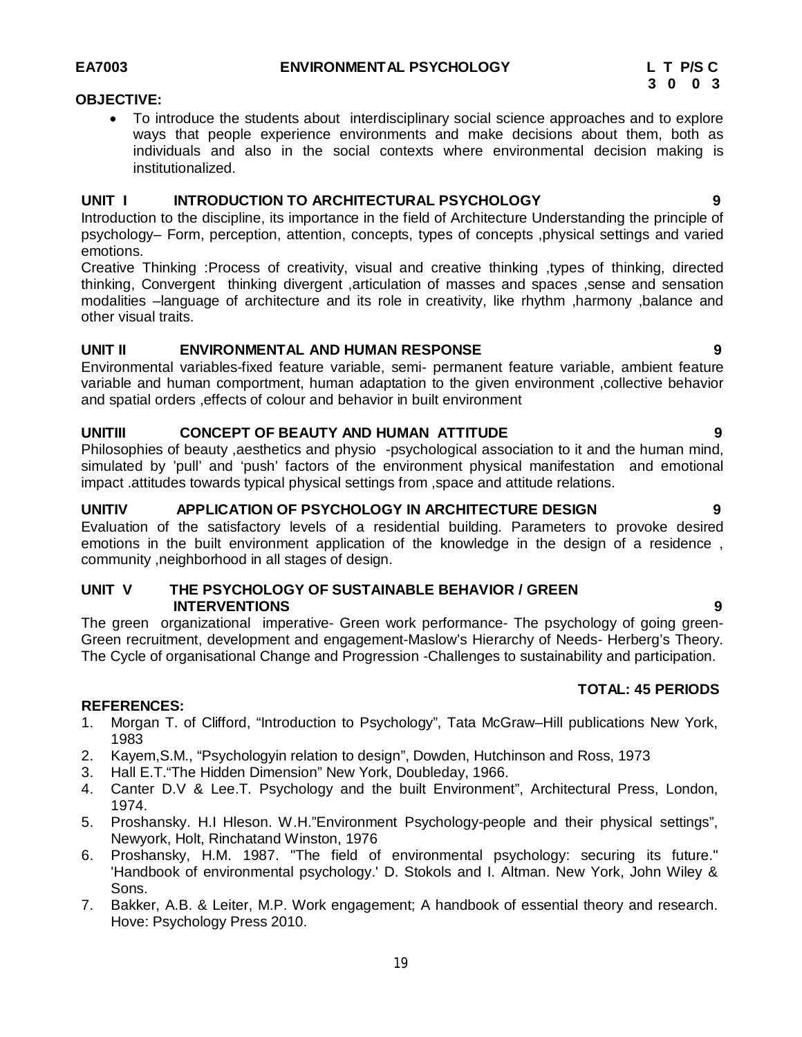**EA7003 ENVIRONMENTAL PSYCHOLOGY L T P/S C**

- **OBJECTIVE:**
	- To introduce the students about interdisciplinary social science approaches and to explore ways that people experience environments and make decisions about them, both as individuals and also in the social contexts where environmental decision making is institutionalized.

#### **UNIT I INTRODUCTION TO ARCHITECTURAL PSYCHOLOGY 9**

Introduction to the discipline, its importance in the field of Architecture Understanding the principle of psychology– Form, perception, attention, concepts, types of concepts ,physical settings and varied emotions.

Creative Thinking :Process of creativity, visual and creative thinking ,types of thinking, directed thinking, Convergent thinking divergent ,articulation of masses and spaces ,sense and sensation modalities –language of architecture and its role in creativity, like rhythm ,harmony ,balance and other visual traits.

# **UNIT II ENVIRONMENTAL AND HUMAN RESPONSE 9**

Environmental variables-fixed feature variable, semi- permanent feature variable, ambient feature variable and human comportment, human adaptation to the given environment ,collective behavior and spatial orders ,effects of colour and behavior in built environment

# **UNITIII CONCEPT OF BEAUTY AND HUMAN ATTITUDE 9**

Philosophies of beauty , aesthetics and physio -psychological association to it and the human mind, simulated by 'pull' and 'push' factors of the environment physical manifestation and emotional impact .attitudes towards typical physical settings from ,space and attitude relations.

### **UNITIV APPLICATION OF PSYCHOLOGY IN ARCHITECTURE DESIGN 9**

Evaluation of the satisfactory levels of a residential building. Parameters to provoke desired emotions in the built environment application of the knowledge in the design of a residence , community ,neighborhood in all stages of design.

#### **UNIT V THE PSYCHOLOGY OF SUSTAINABLE BEHAVIOR / GREEN INTERVENTIONS** 9

The green organizational imperative- Green work performance- The psychology of going green-Green recruitment, development and engagement-Maslow's Hierarchy of Needs- Herberg's Theory. The Cycle of organisational Change and Progression -Challenges to sustainability and participation.

#### **REFERENCES:**

- 1. Morgan T. of Clifford, "Introduction to Psychology", Tata McGraw–Hill publications New York, 1983
- 2. Kayem,S.M., "Psychologyin relation to design", Dowden, Hutchinson and Ross, 1973
- 3. Hall E.T."The Hidden Dimension" New York, Doubleday, 1966.
- 4. Canter D.V & Lee.T. Psychology and the built Environment", Architectural Press, London, 1974.
- 5. Proshansky. H.I Hleson. W.H."Environment Psychology-people and their physical settings", Newyork, Holt, Rinchatand Winston, 1976
- 6. Proshansky, H.M. 1987. "The field of environmental psychology: securing its future." 'Handbook of environmental psychology.' D. Stokols and I. Altman. New York, John Wiley & Sons.
- 7. Bakker, A.B. & Leiter, M.P. Work engagement; A handbook of essential theory and research. Hove: Psychology Press 2010.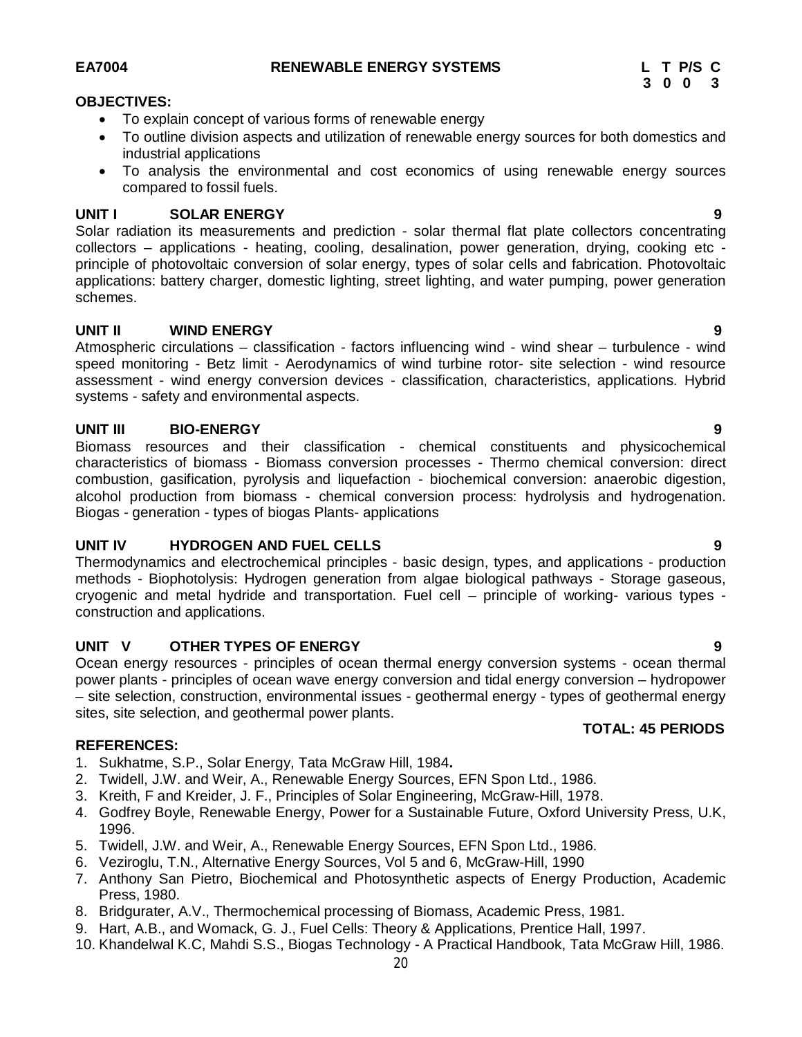### **OBJECTIVES:**

- To explain concept of various forms of renewable energy
- To outline division aspects and utilization of renewable energy sources for both domestics and industrial applications
- To analysis the environmental and cost economics of using renewable energy sources compared to fossil fuels.

### **UNIT I** SOLAR ENERGY 9

Solar radiation its measurements and prediction - solar thermal flat plate collectors concentrating collectors – applications - heating, cooling, desalination, power generation, drying, cooking etc principle of photovoltaic conversion of solar energy, types of solar cells and fabrication. Photovoltaic applications: battery charger, domestic lighting, street lighting, and water pumping, power generation schemes.

### **UNIT II WIND ENERGY 9**

Atmospheric circulations – classification - factors influencing wind - wind shear – turbulence - wind speed monitoring - Betz limit - Aerodynamics of wind turbine rotor- site selection - wind resource assessment - wind energy conversion devices - classification, characteristics, applications. Hybrid systems - safety and environmental aspects.

### **UNIT III BIO-ENERGY 9**

Biomass resources and their classification - chemical constituents and physicochemical characteristics of biomass - Biomass conversion processes - Thermo chemical conversion: direct combustion, gasification, pyrolysis and liquefaction - biochemical conversion: anaerobic digestion, alcohol production from biomass - chemical conversion process: hydrolysis and hydrogenation. Biogas - generation - types of biogas Plants- applications

#### **UNIT IV HYDROGEN AND FUEL CELLS 9**

Thermodynamics and electrochemical principles - basic design, types, and applications - production methods - Biophotolysis: Hydrogen generation from algae biological pathways - Storage gaseous, cryogenic and metal hydride and transportation. Fuel cell – principle of working- various types construction and applications.

# **UNIT V OTHER TYPES OF ENERGY 9**

Ocean energy resources - principles of ocean thermal energy conversion systems - ocean thermal power plants - principles of ocean wave energy conversion and tidal energy conversion – hydropower – site selection, construction, environmental issues - geothermal energy - types of geothermal energy sites, site selection, and geothermal power plants.

#### **REFERENCES:**

- 1. Sukhatme, S.P., Solar Energy, Tata McGraw Hill, 1984**.**
- 2. Twidell, J.W. and Weir, A., Renewable Energy Sources, EFN Spon Ltd., 1986.
- 3. Kreith, F and Kreider, J. F., Principles of Solar Engineering, McGraw-Hill, 1978.
- 4. Godfrey Boyle, Renewable Energy, Power for a Sustainable Future, Oxford University Press, U.K, 1996.
- 5. Twidell, J.W. and Weir, A., Renewable Energy Sources, EFN Spon Ltd., 1986.
- 6. Veziroglu, T.N., Alternative Energy Sources, Vol 5 and 6, McGraw-Hill, 1990
- 7. Anthony San Pietro, Biochemical and Photosynthetic aspects of Energy Production, Academic Press, 1980.
- 8. Bridgurater, A.V., Thermochemical processing of Biomass, Academic Press, 1981.
- 9. Hart, A.B., and Womack, G. J., Fuel Cells: Theory & Applications, Prentice Hall, 1997.
- 10. Khandelwal K.C, Mahdi S.S., Biogas Technology A Practical Handbook, Tata McGraw Hill, 1986.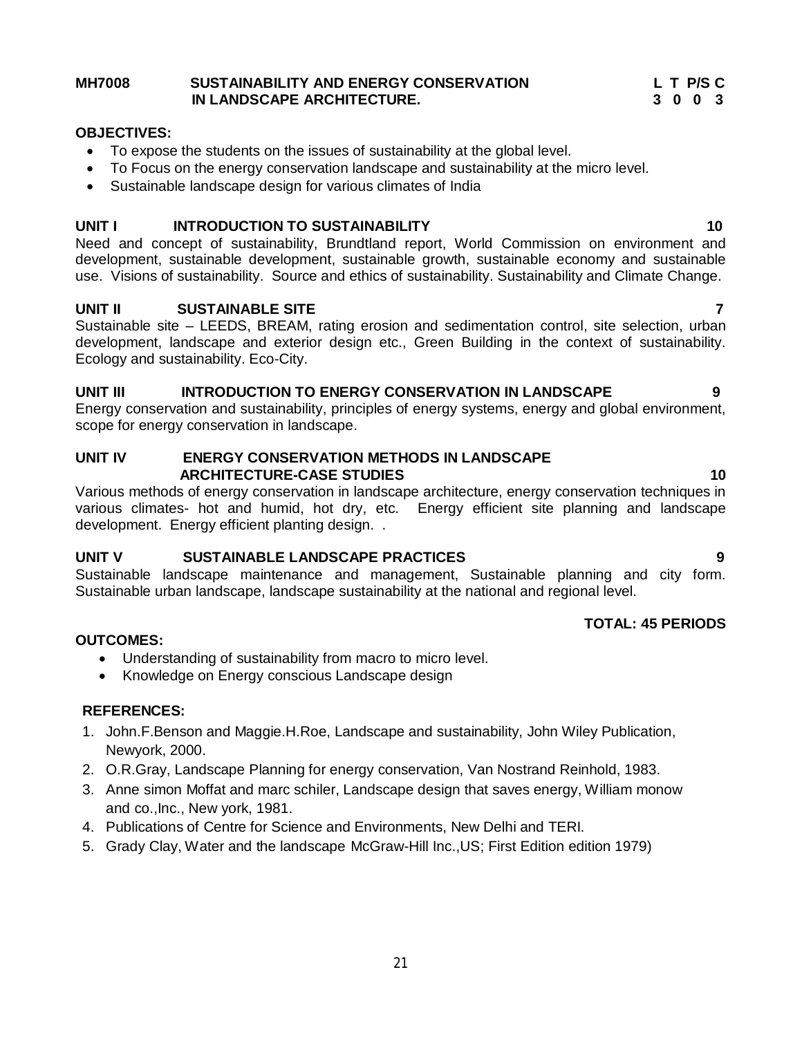#### **MH7008 SUSTAINABILITY AND ENERGY CONSERVATION L T P/S C IN LANDSCAPE ARCHITECTURE. 3 0 0 3**

# **OBJECTIVES:**

- To expose the students on the issues of sustainability at the global level.
- To Focus on the energy conservation landscape and sustainability at the micro level.
- Sustainable landscape design for various climates of India

# **UNIT I** INTRODUCTION TO SUSTAINABILITY **10**

Need and concept of sustainability, Brundtland report, World Commission on environment and development, sustainable development, sustainable growth, sustainable economy and sustainable use. Visions of sustainability. Source and ethics of sustainability. Sustainability and Climate Change.

# **UNIT II SUSTAINABLE SITE 7**

Sustainable site – LEEDS, BREAM, rating erosion and sedimentation control, site selection, urban development, landscape and exterior design etc., Green Building in the context of sustainability. Ecology and sustainability. Eco-City.

# UNIT III INTRODUCTION TO ENERGY CONSERVATION IN LANDSCAPE 9

Energy conservation and sustainability, principles of energy systems, energy and global environment, scope for energy conservation in landscape.

#### **UNIT IV ENERGY CONSERVATION METHODS IN LANDSCAPE ARCHITECTURE-CASE STUDIES** 10

Various methods of energy conservation in landscape architecture, energy conservation techniques in various climates- hot and humid, hot dry, etc. Energy efficient site planning and landscape development. Energy efficient planting design. .

# **UNIT V SUSTAINABLE LANDSCAPE PRACTICES 9**

Sustainable landscape maintenance and management, Sustainable planning and city form. Sustainable urban landscape, landscape sustainability at the national and regional level.

# **OUTCOMES:**

- Understanding of sustainability from macro to micro level.
- Knowledge on Energy conscious Landscape design

# **REFERENCES:**

- 1. John.F.Benson and Maggie.H.Roe, Landscape and sustainability, John Wiley Publication, Newyork, 2000.
- 2. O.R.Gray, Landscape Planning for energy conservation, Van Nostrand Reinhold, 1983.
- 3. Anne simon Moffat and marc schiler, Landscape design that saves energy, William monow and co.,Inc., New york, 1981.
- 4. Publications of Centre for Science and Environments, New Delhi and TERI.
- 5. Grady Clay, Water and the landscape McGraw-Hill Inc.,US; First Edition edition 1979)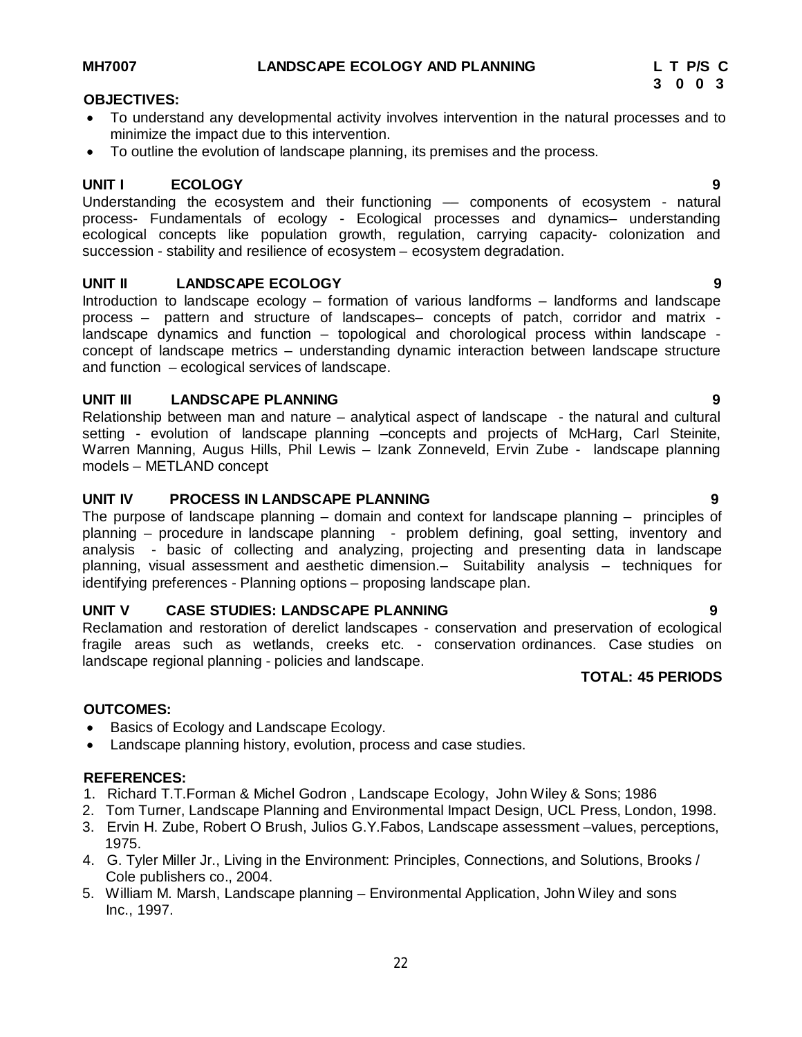- 3. Ervin H. Zube, Robert O Brush, Julios G.Y.Fabos, Landscape assessment –values, perceptions, 1975.
- 4. G. Tyler Miller Jr., Living in the Environment: Principles, Connections, and Solutions, Brooks / Cole publishers co., 2004.
- 5. William M. Marsh, Landscape planning Environmental Application, John Wiley and sons Inc., 1997.

- To understand any developmental activity involves intervention in the natural processes and to minimize the impact due to this intervention.
- To outline the evolution of landscape planning, its premises and the process.

### **UNIT I ECOLOGY 9**

Understanding the ecosystem and their functioning –– components of ecosystem - natural process- Fundamentals of ecology - Ecological processes and dynamics– understanding ecological concepts like population growth, regulation, carrying capacity- colonization and succession - stability and resilience of ecosystem – ecosystem degradation.

### **UNIT II LANDSCAPE ECOLOGY 9**

Introduction to landscape ecology – formation of various landforms – landforms and landscape process – pattern and structure of landscapes– concepts of patch, corridor and matrix landscape dynamics and function – topological and chorological process within landscape concept of landscape metrics – understanding dynamic interaction between landscape structure and function – ecological services of landscape.

### **UNIT III LANDSCAPE PLANNING 9**

Relationship between man and nature – analytical aspect of landscape - the natural and cultural setting - evolution of landscape planning –concepts and projects of McHarg, Carl Steinite, Warren Manning, Augus Hills, Phil Lewis – Izank Zonneveld, Ervin Zube - landscape planning models – METLAND concept

### **UNIT IV PROCESS IN LANDSCAPE PLANNING 9**

The purpose of landscape planning – domain and context for landscape planning – principles of planning – procedure in landscape planning - problem defining, goal setting, inventory and analysis - basic of collecting and analyzing, projecting and presenting data in landscape planning, visual assessment and aesthetic dimension.– Suitability analysis – techniques for identifying preferences - Planning options – proposing landscape plan.

#### **UNIT V CASE STUDIES: LANDSCAPE PLANNING 9**

Reclamation and restoration of derelict landscapes - conservation and preservation of ecological fragile areas such as wetlands, creeks etc. - conservation ordinances. Case studies on landscape regional planning - policies and landscape.  **TOTAL: 45 PERIODS**

#### **OUTCOMES:**

- Basics of Ecology and Landscape Ecology.
- Landscape planning history, evolution, process and case studies.

# **REFERENCES:**

- 1. Richard T.T.Forman & Michel Godron , Landscape Ecology, John Wiley & Sons; 1986
- 2. Tom Turner, Landscape Planning and Environmental Impact Design, UCL Press, London, 1998.
	-

# **MH7007 LANDSCAPE ECOLOGY AND PLANNING L T P/S C**

# **OBJECTIVES:**